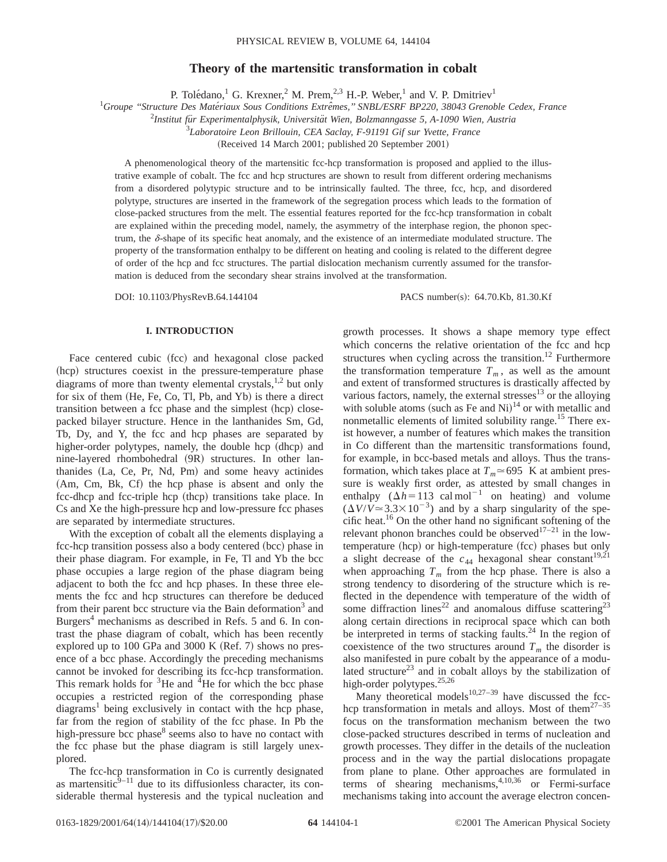# **Theory of the martensitic transformation in cobalt**

P. Tolédano,<sup>1</sup> G. Krexner,<sup>2</sup> M. Prem,<sup>2,3</sup> H.-P. Weber,<sup>1</sup> and V. P. Dmitriev<sup>1</sup>

<sup>1</sup>Groupe "Structure Des Matériaux Sous Conditions Extrêmes," SNBL/ESRF BP220, 38043 Grenoble Cedex, France

<sup>2</sup>Institut für Experimentalphysik, Universität Wien, Bolzmanngasse 5, A-1090 Wien, Austria

3 *Laboratoire Leon Brillouin, CEA Saclay, F-91191 Gif sur Yvette, France*

(Received 14 March 2001; published 20 September 2001)

A phenomenological theory of the martensitic fcc-hcp transformation is proposed and applied to the illustrative example of cobalt. The fcc and hcp structures are shown to result from different ordering mechanisms from a disordered polytypic structure and to be intrinsically faulted. The three, fcc, hcp, and disordered polytype, structures are inserted in the framework of the segregation process which leads to the formation of close-packed structures from the melt. The essential features reported for the fcc-hcp transformation in cobalt are explained within the preceding model, namely, the asymmetry of the interphase region, the phonon spectrum, the  $\delta$ -shape of its specific heat anomaly, and the existence of an intermediate modulated structure. The property of the transformation enthalpy to be different on heating and cooling is related to the different degree of order of the hcp and fcc structures. The partial dislocation mechanism currently assumed for the transformation is deduced from the secondary shear strains involved at the transformation.

DOI: 10.1103/PhysRevB.64.144104 PACS number(s): 64.70.Kb, 81.30.Kf

## **I. INTRODUCTION**

Face centered cubic (fcc) and hexagonal close packed (hcp) structures coexist in the pressure-temperature phase diagrams of more than twenty elemental crystals, $1,2$  but only for six of them  $(He, Fe, Co, Tl, Pb, and Yb)$  is there a direct transition between a fcc phase and the simplest (hcp) closepacked bilayer structure. Hence in the lanthanides Sm, Gd, Tb, Dy, and Y, the fcc and hcp phases are separated by higher-order polytypes, namely, the double hcp (dhcp) and nine-layered rhombohedral (9R) structures. In other lanthanides (La, Ce, Pr, Nd, Pm) and some heavy actinides (Am, Cm, Bk, Cf) the hcp phase is absent and only the fcc-dhcp and fcc-triple hcp (thcp) transitions take place. In Cs and Xe the high-pressure hcp and low-pressure fcc phases are separated by intermediate structures.

With the exception of cobalt all the elements displaying a fcc-hcp transition possess also a body centered (bcc) phase in their phase diagram. For example, in Fe, Tl and Yb the bcc phase occupies a large region of the phase diagram being adjacent to both the fcc and hcp phases. In these three elements the fcc and hcp structures can therefore be deduced from their parent bcc structure via the Bain deformation<sup>3</sup> and Burgers<sup>4</sup> mechanisms as described in Refs. 5 and 6. In contrast the phase diagram of cobalt, which has been recently explored up to 100 GPa and 3000 K (Ref. 7) shows no presence of a bcc phase. Accordingly the preceding mechanisms cannot be invoked for describing its fcc-hcp transformation. This remark holds for  ${}^{3}$ He and  ${}^{4}$ He for which the bcc phase occupies a restricted region of the corresponding phase  $diagrams<sup>1</sup>$  being exclusively in contact with the hcp phase, far from the region of stability of the fcc phase. In Pb the high-pressure bcc phase $\delta$  seems also to have no contact with the fcc phase but the phase diagram is still largely unexplored.

The fcc-hcp transformation in Co is currently designated as martensitic $9-11$  due to its diffusionless character, its considerable thermal hysteresis and the typical nucleation and

growth processes. It shows a shape memory type effect which concerns the relative orientation of the fcc and hcp structures when cycling across the transition.<sup>12</sup> Furthermore the transformation temperature  $T_m$ , as well as the amount and extent of transformed structures is drastically affected by various factors, namely, the external stresses $^{13}$  or the alloying with soluble atoms (such as Fe and Ni) $14$  or with metallic and nonmetallic elements of limited solubility range.<sup>15</sup> There exist however, a number of features which makes the transition in Co different than the martensitic transformations found, for example, in bcc-based metals and alloys. Thus the transformation, which takes place at  $T_m \approx 695$  K at ambient pressure is weakly first order, as attested by small changes in enthalpy  $(\Delta h=113 \text{ cal mol}^{-1} \text{ on heating})$  and volume  $(\Delta V/V \approx 3.3 \times 10^{-3})$  and by a sharp singularity of the specific heat.16 On the other hand no significant softening of the relevant phonon branches could be observed $17-21$  in the lowtemperature (hcp) or high-temperature (fcc) phases but only a slight decrease of the  $c_{44}$  hexagonal shear constant<sup>19,21</sup> when approaching  $T_m$  from the hcp phase. There is also a strong tendency to disordering of the structure which is reflected in the dependence with temperature of the width of some diffraction lines<sup>22</sup> and anomalous diffuse scattering<sup>23</sup> along certain directions in reciprocal space which can both be interpreted in terms of stacking faults. $^{24}$  In the region of coexistence of the two structures around  $T_m$  the disorder is also manifested in pure cobalt by the appearance of a modulated structure<sup>23</sup> and in cobalt alloys by the stabilization of high-order polytypes.<sup>25,26</sup>

Many theoretical models $10,27-39$  have discussed the fcchcp transformation in metals and alloys. Most of them<sup>27–35</sup> focus on the transformation mechanism between the two close-packed structures described in terms of nucleation and growth processes. They differ in the details of the nucleation process and in the way the partial dislocations propagate from plane to plane. Other approaches are formulated in terms of shearing mechanisms,4,10,36 or Fermi-surface mechanisms taking into account the average electron concen-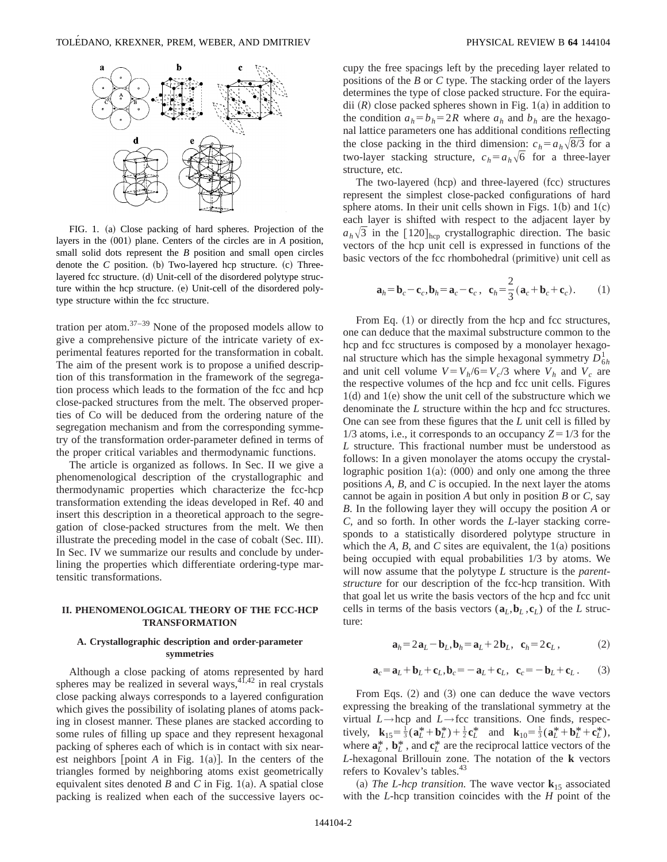

FIG. 1. (a) Close packing of hard spheres. Projection of the layers in the  $(001)$  plane. Centers of the circles are in *A* position, small solid dots represent the *B* position and small open circles denote the  $C$  position. (b) Two-layered hcp structure.  $(c)$  Threelayered fcc structure. (d) Unit-cell of the disordered polytype structure within the hcp structure. (e) Unit-cell of the disordered polytype structure within the fcc structure.

tration per atom. $37-39$  None of the proposed models allow to give a comprehensive picture of the intricate variety of experimental features reported for the transformation in cobalt. The aim of the present work is to propose a unified description of this transformation in the framework of the segregation process which leads to the formation of the fcc and hcp close-packed structures from the melt. The observed properties of Co will be deduced from the ordering nature of the segregation mechanism and from the corresponding symmetry of the transformation order-parameter defined in terms of the proper critical variables and thermodynamic functions.

The article is organized as follows. In Sec. II we give a phenomenological description of the crystallographic and thermodynamic properties which characterize the fcc-hcp transformation extending the ideas developed in Ref. 40 and insert this description in a theoretical approach to the segregation of close-packed structures from the melt. We then illustrate the preceding model in the case of cobalt (Sec. III). In Sec. IV we summarize our results and conclude by underlining the properties which differentiate ordering-type martensitic transformations.

# **II. PHENOMENOLOGICAL THEORY OF THE FCC-HCP TRANSFORMATION**

# **A. Crystallographic description and order-parameter symmetries**

Although a close packing of atoms represented by hard spheres may be realized in several ways,  $41,42$  in real crystals close packing always corresponds to a layered configuration which gives the possibility of isolating planes of atoms packing in closest manner. These planes are stacked according to some rules of filling up space and they represent hexagonal packing of spheres each of which is in contact with six nearest neighbors [point  $A$  in Fig. 1(a)]. In the centers of the triangles formed by neighboring atoms exist geometrically equivalent sites denoted *B* and *C* in Fig. 1(a). A spatial close packing is realized when each of the successive layers occupy the free spacings left by the preceding layer related to positions of the *B* or *C* type. The stacking order of the layers determines the type of close packed structure. For the equiradii  $(R)$  close packed spheres shown in Fig. 1(a) in addition to the condition  $a_h = b_h = 2R$  where  $a_h$  and  $b_h$  are the hexagonal lattice parameters one has additional conditions reflecting the close packing in the third dimension:  $c_h = a_h \sqrt{8/3}$  for a two-layer stacking structure,  $c_h = a_h\sqrt{6}$  for a three-layer structure, etc.

The two-layered (hcp) and three-layered (fcc) structures represent the simplest close-packed configurations of hard sphere atoms. In their unit cells shown in Figs.  $1(b)$  and  $1(c)$ each layer is shifted with respect to the adjacent layer by  $a_h\sqrt{3}$  in the [120]<sub>hcp</sub> crystallographic direction. The basic vectors of the hcp unit cell is expressed in functions of the basic vectors of the fcc rhombohedral (primitive) unit cell as

$$
\mathbf{a}_h = \mathbf{b}_c - \mathbf{c}_c, \mathbf{b}_h = \mathbf{a}_c - \mathbf{c}_c, \quad \mathbf{c}_h = \frac{2}{3} (\mathbf{a}_c + \mathbf{b}_c + \mathbf{c}_c). \tag{1}
$$

From Eq.  $(1)$  or directly from the hcp and fcc structures, one can deduce that the maximal substructure common to the hcp and fcc structures is composed by a monolayer hexagonal structure which has the simple hexagonal symmetry  $D_{6h}^1$ and unit cell volume  $V = V_h/6 = V_c/3$  where  $V_h$  and  $V_c$  are the respective volumes of the hcp and fcc unit cells. Figures  $1(d)$  and  $1(e)$  show the unit cell of the substructure which we denominate the *L* structure within the hcp and fcc structures. One can see from these figures that the *L* unit cell is filled by 1/3 atoms, i.e., it corresponds to an occupancy  $Z=1/3$  for the *L* structure. This fractional number must be understood as follows: In a given monolayer the atoms occupy the crystallographic position  $1(a)$ : (000) and only one among the three positions *A*, *B*, and *C* is occupied. In the next layer the atoms cannot be again in position *A* but only in position *B* or *C*, say *B*. In the following layer they will occupy the position *A* or *C*, and so forth. In other words the *L*-layer stacking corresponds to a statistically disordered polytype structure in which the  $A$ ,  $B$ , and  $C$  sites are equivalent, the  $1(a)$  positions being occupied with equal probabilities 1/3 by atoms. We will now assume that the polytype *L* structure is the *parentstructure* for our description of the fcc-hcp transition. With that goal let us write the basis vectors of the hcp and fcc unit cells in terms of the basis vectors  $(a_L, b_L, c_L)$  of the *L* structure:

$$
\mathbf{a}_h = 2\mathbf{a}_L - \mathbf{b}_L, \mathbf{b}_h = \mathbf{a}_L + 2\mathbf{b}_L, \quad \mathbf{c}_h = 2\mathbf{c}_L, \tag{2}
$$

$$
\mathbf{a}_c = \mathbf{a}_L + \mathbf{b}_L + \mathbf{c}_L, \mathbf{b}_c = -\mathbf{a}_L + \mathbf{c}_L, \quad \mathbf{c}_c = -\mathbf{b}_L + \mathbf{c}_L. \tag{3}
$$

From Eqs.  $(2)$  and  $(3)$  one can deduce the wave vectors expressing the breaking of the translational symmetry at the virtual *L*→hcp and *L*→fcc transitions. One finds, respectively,  $\mathbf{k}_{15} = \frac{1}{3} (\mathbf{a}_{L}^{*} + \mathbf{b}_{L}^{*}) + \frac{1}{2} \mathbf{c}_{L}^{*}$  and  $\mathbf{k}_{10} = \frac{1}{3} (\mathbf{a}_{L}^{*} + \mathbf{b}_{L}^{*} + \mathbf{c}_{L}^{*}),$ where  $\mathbf{a}_L^*$ ,  $\mathbf{b}_L^*$ , and  $\mathbf{c}_L^*$  are the reciprocal lattice vectors of the *L*-hexagonal Brillouin zone. The notation of the **k** vectors refers to Kovalev's tables.<sup>43</sup>

(a) *The L-hcp transition*. The wave vector  $\mathbf{k}_{15}$  associated with the *L*-hcp transition coincides with the *H* point of the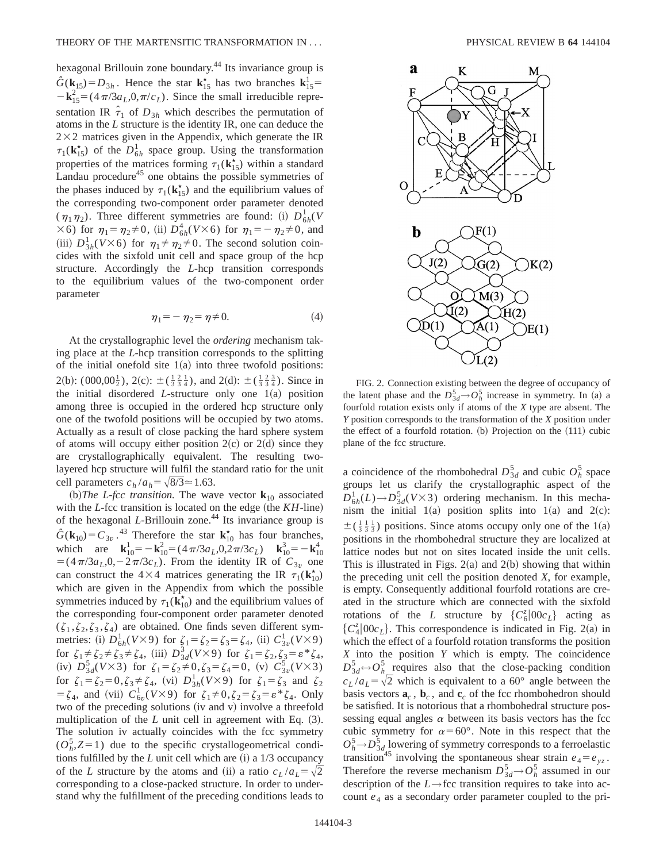hexagonal Brillouin zone boundary.<sup>44</sup> Its invariance group is  $\hat{G}(\mathbf{k}_{15}) = D_{3h}$ . Hence the star  $\mathbf{k}_{15}^{\dagger}$  has two branches  $\mathbf{k}_{15}^{\dagger}$  $-\mathbf{k}_{15}^2 = (4\pi/3a_L, 0, \pi/c_L)$ . Since the small irreducible representation IR  $\hat{\tau}_1$  of  $D_{3h}$  which describes the permutation of atoms in the *L* structure is the identity IR, one can deduce the  $2\times2$  matrices given in the Appendix, which generate the IR  $\tau_1(\mathbf{k}_{15}^{\star})$  of the  $D_{6h}^1$  space group. Using the transformation properties of the matrices forming  $\tau_1(\mathbf{k}_{15}^{\star})$  within a standard Landau procedure<sup>45</sup> one obtains the possible symmetries of the phases induced by  $\tau_1(\mathbf{k}_{15}^*)$  and the equilibrium values of the corresponding two-component order parameter denoted  $(\eta_1 \eta_2)$ . Three different symmetries are found: (i)  $D_{6h}^1(V)$  $\times$  6) for  $\eta_1 = \eta_2 \neq 0$ , (ii)  $D_{6h}^4 (V \times 6)$  for  $\eta_1 = -\eta_2 \neq 0$ , and (iii)  $D_{3h}^1(V\times 6)$  for  $\eta_1 \neq \eta_2 \neq 0$ . The second solution coincides with the sixfold unit cell and space group of the hcp structure. Accordingly the *L*-hcp transition corresponds to the equilibrium values of the two-component order parameter

$$
\eta_1 = -\eta_2 = \eta \neq 0. \tag{4}
$$

At the crystallographic level the *ordering* mechanism taking place at the *L*-hcp transition corresponds to the splitting of the initial onefold site  $1(a)$  into three twofold positions: 2(b):  $(000,00\frac{1}{2})$ , 2(c):  $\pm(\frac{1}{3}\frac{2}{3}\frac{1}{4})$ , and 2(d):  $\pm(\frac{1}{3}\frac{2}{3}\frac{3}{4})$ . Since in the initial disordered *L*-structure only one  $1(a)$  position among three is occupied in the ordered hcp structure only one of the twofold positions will be occupied by two atoms. Actually as a result of close packing the hard sphere system of atoms will occupy either position  $2(c)$  or  $2(d)$  since they are crystallographically equivalent. The resulting twolayered hcp structure will fulfil the standard ratio for the unit cell parameters  $c_h/a_h = \sqrt{8/3} \approx 1.63$ .

(b) The L-fcc transition. The wave vector  $\mathbf{k}_{10}$  associated with the  $L$ -fcc transition is located on the edge (the  $KH$ -line) of the hexagonal *L*-Brillouin zone.<sup>44</sup> Its invariance group is  $\hat{G}(\mathbf{k}_{10}) = C_{3v}$ .<sup>43</sup> Therefore the star  $\mathbf{k}_{10}^{\star}$  has four branches, which are  $\mathbf{k}_{10}^1 = -\mathbf{k}_{10}^2 = (4\pi/3a_L, 0, 2\pi/3c_L)$   $\mathbf{k}_{10}^3 = -\mathbf{k}_{10}^4$  $=$   $(4\pi/3a_L, 0, -2\pi/3c_L)$ . From the identity IR of  $C_{3v}$  one can construct the  $4\times4$  matrices generating the IR  $\tau_1(\mathbf{k}_{10}^{\star})$ which are given in the Appendix from which the possible symmetries induced by  $\tau_1(\mathbf{k}_{10}^*)$  and the equilibrium values of the corresponding four-component order parameter denoted  $(\zeta_1, \zeta_2, \zeta_3, \zeta_4)$  are obtained. One finds seven different symmetries: (i)  $D_{6h}^1(V \times 9)$  for  $\zeta_1 = \zeta_2 = \zeta_3 = \zeta_4$ , (ii)  $C_{3v}^1(V \times 9)$ for  $\zeta_1 \neq \zeta_2 \neq \zeta_3 \neq \zeta_4$ , (iii)  $D_{3d}^3(V \times 9)$  for  $\zeta_1 = \zeta_2, \zeta_3 = \varepsilon^* \zeta_4$ , (iv)  $D_{3d}^5(V \times 3)$  for  $\zeta_1 = \zeta_2 \neq 0, \zeta_3 = \zeta_4 = 0$ , (v)  $C_{3v}^5(V \times 3)$ for  $\zeta_1 = \zeta_2 = 0, \zeta_3 \neq \zeta_4$ , (vi)  $D_{3h}^1(V \times 9)$  for  $\zeta_1 = \zeta_3$  and  $\zeta_2$  $=\zeta_4$ , and (vii)  $C_{6v}^1(V \times 9)$  for  $\zeta_1 \neq 0, \zeta_2 = \zeta_3 = \varepsilon * \zeta_4$ . Only two of the preceding solutions (iv and v) involve a threefold multiplication of the  $L$  unit cell in agreement with Eq.  $(3)$ . The solution iv actually coincides with the fcc symmetry  $(O_h^5, Z=1)$  due to the specific crystallogeometrical conditions fulfilled by the  $L$  unit cell which are  $(i)$  a  $1/3$  occupancy of the *L* structure by the atoms and (ii) a ratio  $c_L/a_L = \sqrt{2}$ corresponding to a close-packed structure. In order to understand why the fulfillment of the preceding conditions leads to



FIG. 2. Connection existing between the degree of occupancy of the latent phase and the  $D_{3d}^5 \rightarrow O_h^5$  increase in symmetry. In (a) a fourfold rotation exists only if atoms of the *X* type are absent. The *Y* position corresponds to the transformation of the *X* position under the effect of a fourfold rotation.  $(b)$  Projection on the  $(111)$  cubic plane of the fcc structure.

a coincidence of the rhombohedral  $D_{3d}^5$  and cubic  $O_h^5$  space groups let us clarify the crystallographic aspect of the  $D_{6h}^1(L) \rightarrow D_{3d}^5(V \times 3)$  ordering mechanism. In this mechanism the initial  $1(a)$  position splits into  $1(a)$  and  $2(c)$ :  $\pm(\frac{1}{3}\frac{1}{3}\frac{1}{3})$  positions. Since atoms occupy only one of the 1(a) positions in the rhombohedral structure they are localized at lattice nodes but not on sites located inside the unit cells. This is illustrated in Figs.  $2(a)$  and  $2(b)$  showing that within the preceding unit cell the position denoted *X*, for example, is empty. Consequently additional fourfold rotations are created in the structure which are connected with the sixfold rotations of the *L* structure by  $\{C_6^z|00c_L\}$  acting as  ${C_4^z|00c_L}.$  This correspondence is indicated in Fig. 2(a) in which the effect of a fourfold rotation transforms the position *X* into the position *Y* which is empty. The coincidence  $D_{3d}^5$   $\leftrightarrow$   $O_{h}^5$  requires also that the close-packing condition  $c_L/a_L = \sqrt{2}$  which is equivalent to a 60° angle between the basis vectors  $\mathbf{a}_c$ ,  $\mathbf{b}_c$ , and  $\mathbf{c}_c$  of the fcc rhombohedron should be satisfied. It is notorious that a rhombohedral structure possessing equal angles  $\alpha$  between its basis vectors has the fcc cubic symmetry for  $\alpha = 60^{\circ}$ . Note in this respect that the  $O_h^5 \rightarrow D_{3d}^5$  lowering of symmetry corresponds to a ferroelastic transition<sup>45</sup> involving the spontaneous shear strain  $e_4 = e_{yz}$ . Therefore the reverse mechanism  $D_{3d}^5 \rightarrow O_h^5$  assumed in our description of the *L*→fcc transition requires to take into account  $e_4$  as a secondary order parameter coupled to the pri-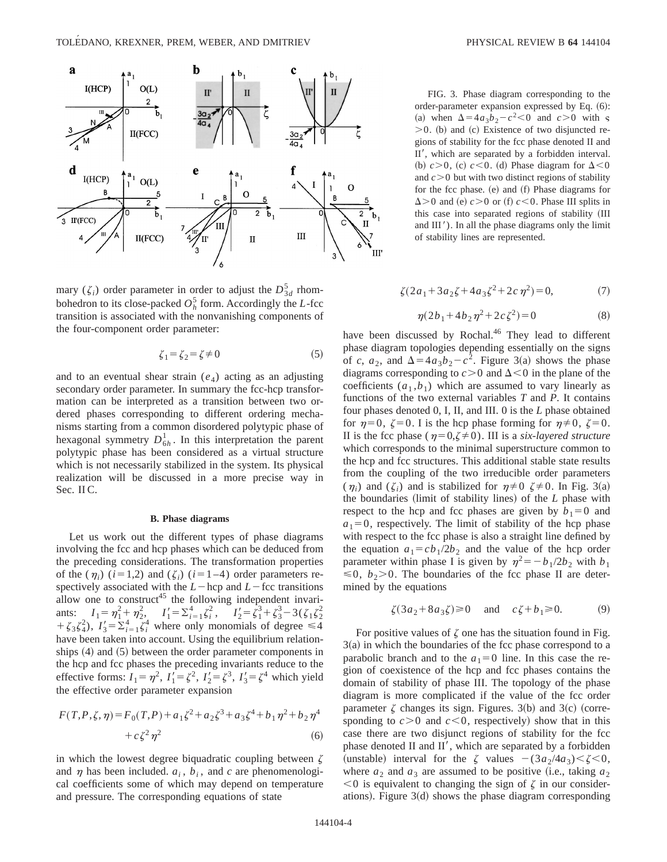

mary ( $\zeta_i$ ) order parameter in order to adjust the  $D_{3d}^5$  rhombohedron to its close-packed  $O_h^5$  form. Accordingly the *L*-fcc transition is associated with the nonvanishing components of the four-component order parameter:

$$
\zeta_1 = \zeta_2 = \zeta \neq 0 \tag{5}
$$

and to an eventual shear strain  $(e_4)$  acting as an adjusting secondary order parameter. In summary the fcc-hcp transformation can be interpreted as a transition between two ordered phases corresponding to different ordering mechanisms starting from a common disordered polytypic phase of hexagonal symmetry  $D_{6h}^1$ . In this interpretation the parent polytypic phase has been considered as a virtual structure which is not necessarily stabilized in the system. Its physical realization will be discussed in a more precise way in Sec. II C.

### **B. Phase diagrams**

Let us work out the different types of phase diagrams involving the fcc and hcp phases which can be deduced from the preceding considerations. The transformation properties of the  $(\eta_i)$  ( $i=1,2$ ) and ( $\zeta_i$ ) ( $i=1-4$ ) order parameters respectively associated with the  $L$ -hcp and  $L$ -fcc transitions allow one to construct<sup>45</sup> the following independent invariants:  $I_1 = \eta_1^2 + \eta_2^2$ ,  $I_1' = \sum_{i=1}^4 \zeta_i^2$ ,  $I_2' = \overline{\zeta_1^3} + \zeta_3^3 - 3(\zeta_1 \zeta_2^2)$  $+\zeta_3 \zeta_4^2$ ,  $I'_3 = \sum_{i=1}^4 \zeta_i^4$  where only monomials of degree  $\leq 4$ have been taken into account. Using the equilibrium relationships  $(4)$  and  $(5)$  between the order parameter components in the hcp and fcc phases the preceding invariants reduce to the effective forms:  $I_1 = \eta^2$ ,  $I'_1 = \zeta^2$ ,  $I'_2 = \zeta^3$ ,  $I'_3 = \zeta^4$  which yield the effective order parameter expansion

$$
F(T, P, \zeta, \eta) = F_0(T, P) + a_1 \zeta^2 + a_2 \zeta^3 + a_3 \zeta^4 + b_1 \eta^2 + b_2 \eta^4
$$
  
+  $c \zeta^2 \eta^2$  (6)

in which the lowest degree biquadratic coupling between  $\zeta$ and  $\eta$  has been included.  $a_i$ ,  $b_i$ , and  $c$  are phenomenological coefficients some of which may depend on temperature and pressure. The corresponding equations of state

FIG. 3. Phase diagram corresponding to the order-parameter expansion expressed by Eq.  $(6)$ : (a) when  $\Delta = 4a_3b_2 - c^2 < 0$  and  $c > 0$  with  $\varsigma$  $>0$ . (b) and (c) Existence of two disjuncted regions of stability for the fcc phase denoted II and II', which are separated by a forbidden interval. (b)  $c > 0$ , (c)  $c < 0$ . (d) Phase diagram for  $\Delta < 0$ and  $c > 0$  but with two distinct regions of stability for the fcc phase.  $(e)$  and  $(f)$  Phase diagrams for  $\Delta$  > 0 and (e)  $c$  > 0 or (f)  $c$  < 0. Phase III splits in this case into separated regions of stability (III and III'). In all the phase diagrams only the limit of stability lines are represented.

$$
\zeta(2a_1 + 3a_2\zeta + 4a_3\zeta^2 + 2c\eta^2) = 0,\tag{7}
$$

$$
\eta(2b_1 + 4b_2\eta^2 + 2c\zeta^2) = 0\tag{8}
$$

have been discussed by Rochal.<sup>46</sup> They lead to different phase diagram topologies depending essentially on the signs of *c*,  $a_2$ , and  $\Delta = 4a_3b_2 - c^2$ . Figure 3(a) shows the phase diagrams corresponding to  $c > 0$  and  $\Delta < 0$  in the plane of the coefficients  $(a_1, b_1)$  which are assumed to vary linearly as functions of the two external variables *T* and *P*. It contains four phases denoted 0, I, II, and III. 0 is the *L* phase obtained for  $\eta=0$ ,  $\zeta=0$ . I is the hcp phase forming for  $\eta\neq 0$ ,  $\zeta=0$ . II is the fcc phase ( $\eta=0,\zeta\neq0$ ). III is a *six-layered structure* which corresponds to the minimal superstructure common to the hcp and fcc structures. This additional stable state results from the coupling of the two irreducible order parameters  $(\eta_i)$  and  $(\zeta_i)$  and is stabilized for  $\eta \neq 0$   $\zeta \neq 0$ . In Fig. 3(a) the boundaries (limit of stability lines) of the *L* phase with respect to the hcp and fcc phases are given by  $b_1=0$  and  $a_1=0$ , respectively. The limit of stability of the hcp phase with respect to the fcc phase is also a straight line defined by the equation  $a_1 = cb_1/2b_2$  and the value of the hcp order parameter within phase I is given by  $\eta^2 = -b_1/2b_2$  with  $b_1$  $\leq 0$ ,  $b_2$ >0. The boundaries of the fcc phase II are determined by the equations

$$
\zeta(3a_2 + 8a_3\zeta) \ge 0 \quad \text{and} \quad c\zeta + b_1 \ge 0. \tag{9}
$$

For positive values of  $\zeta$  one has the situation found in Fig.  $3(a)$  in which the boundaries of the fcc phase correspond to a parabolic branch and to the  $a_1=0$  line. In this case the region of coexistence of the hcp and fcc phases contains the domain of stability of phase III. The topology of the phase diagram is more complicated if the value of the fcc order parameter  $\zeta$  changes its sign. Figures. 3(b) and 3(c) (corresponding to  $c > 0$  and  $c < 0$ , respectively) show that in this case there are two disjunct regions of stability for the fcc phase denoted  $II$  and  $II'$ , which are separated by a forbidden (unstable) interval for the  $\zeta$  values  $-(3a_2/4a_3) < \zeta < 0$ , where  $a_2$  and  $a_3$  are assumed to be positive (i.e., taking  $a_2$ )  $<$ 0 is equivalent to changing the sign of  $\zeta$  in our considerations). Figure  $3(d)$  shows the phase diagram corresponding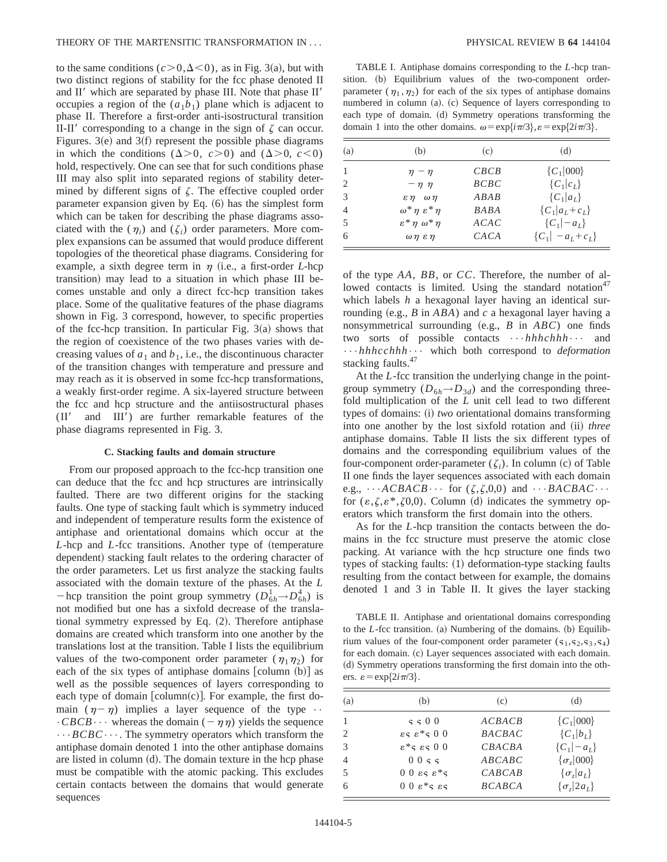to the same conditions  $(c>0,\Delta<0)$ , as in Fig. 3(a), but with two distinct regions of stability for the fcc phase denoted II and  $II'$  which are separated by phase III. Note that phase  $II'$ occupies a region of the  $(a_1b_1)$  plane which is adjacent to phase II. Therefore a first-order anti-isostructural transition II-II' corresponding to a change in the sign of  $\zeta$  can occur. Figures. 3 $(e)$  and 3 $(f)$  represent the possible phase diagrams in which the conditions  $(\Delta > 0, c > 0)$  and  $(\Delta > 0, c < 0)$ hold, respectively. One can see that for such conditions phase III may also split into separated regions of stability determined by different signs of  $\zeta$ . The effective coupled order parameter expansion given by Eq.  $(6)$  has the simplest form which can be taken for describing the phase diagrams associated with the  $(\eta_i)$  and  $(\zeta_i)$  order parameters. More complex expansions can be assumed that would produce different topologies of the theoretical phase diagrams. Considering for example, a sixth degree term in  $\eta$  (i.e., a first-order *L*-hcp transition) may lead to a situation in which phase III becomes unstable and only a direct fcc-hcp transition takes place. Some of the qualitative features of the phase diagrams shown in Fig. 3 correspond, however, to specific properties of the fcc-hcp transition. In particular Fig.  $3(a)$  shows that the region of coexistence of the two phases varies with decreasing values of  $a_1$  and  $b_1$ , i.e., the discontinuous character of the transition changes with temperature and pressure and may reach as it is observed in some fcc-hcp transformations, a weakly first-order regime. A six-layered structure between the fcc and hcp structure and the antiisostructural phases  $(II'$  and  $III'$ ) are further remarkable features of the phase diagrams represented in Fig. 3.

### **C. Stacking faults and domain structure**

From our proposed approach to the fcc-hcp transition one can deduce that the fcc and hcp structures are intrinsically faulted. There are two different origins for the stacking faults. One type of stacking fault which is symmetry induced and independent of temperature results form the existence of antiphase and orientational domains which occur at the *L*-hcp and *L*-fcc transitions. Another type of (temperature dependent) stacking fault relates to the ordering character of the order parameters. Let us first analyze the stacking faults associated with the domain texture of the phases. At the *L* -hcp transition the point group symmetry  $(D_{6h}^1 \rightarrow D_{6h}^4)$  is not modified but one has a sixfold decrease of the translational symmetry expressed by Eq.  $(2)$ . Therefore antiphase domains are created which transform into one another by the translations lost at the transition. Table I lists the equilibrium values of the two-component order parameter ( $\eta_1 \eta_2$ ) for each of the six types of antiphase domains  $\lceil \text{column (b)} \rceil$  as well as the possible sequences of layers corresponding to each type of domain  $\lceil \text{column}(c) \rceil$ . For example, the first domain  $(\eta - \eta)$  implies a layer sequence of the type  $\cdot \cdot$  $\cdot$ *CBCB* $\cdot \cdot \cdot$  whereas the domain  $(-\eta \eta)$  yields the sequence •••*BCBC*•••. The symmetry operators which transform the antiphase domain denoted 1 into the other antiphase domains are listed in column  $(d)$ . The domain texture in the hcp phase must be compatible with the atomic packing. This excludes certain contacts between the domains that would generate sequences

TABLE I. Antiphase domains corresponding to the *L*-hcp transition. (b) Equilibrium values of the two-component orderparameter ( $\eta_1, \eta_2$ ) for each of the six types of antiphase domains numbered in column (a). (c) Sequence of layers corresponding to each type of domain. (d) Symmetry operations transforming the domain 1 into the other domains.  $\omega = \exp\{i\pi/3\}$ ,  $\varepsilon = \exp\{2i\pi/3\}$ .

| (a)            | (b)                                | (c)         | (d)                    |
|----------------|------------------------------------|-------------|------------------------|
|                | $\eta - \eta$                      | CBCB        | ${C_1 000}$            |
| 2              | $-\eta \eta$                       | BCBC        | ${C_1 c_L}$            |
| 3              | $\epsilon \eta \quad \omega \eta$  | ABAB        | ${C_1 a_L}$            |
| $\overline{4}$ | $\omega^* \eta \varepsilon^* \eta$ | <b>BABA</b> | ${C_1 a_L+c_L}$        |
| 5              | $\varepsilon^* \eta \omega^* \eta$ | ACAC        | $\{C_1   -a_L\}$       |
| 6              | $\omega \eta \varepsilon \eta$     | CACA        | $\{C_1   -a_L + c_L\}$ |

of the type *AA*, *BB*, or *CC*. Therefore, the number of allowed contacts is limited. Using the standard notation<sup>47</sup> which labels *h* a hexagonal layer having an identical surrounding  $(e.g., B \in ABA)$  and *c* a hexagonal layer having a nonsymmetrical surrounding  $(e.g., B \text{ in } ABC)$  one finds two sorts of possible contacts •••*hhhchhh*••• and •••*hhhcchhh*••• which both correspond to *deformation* stacking faults.<sup>47</sup>

At the *L*-fcc transition the underlying change in the pointgroup symmetry  $(D_{6h} \rightarrow D_{3d})$  and the corresponding threefold multiplication of the *L* unit cell lead to two different types of domains: (i) *two* orientational domains transforming into one another by the lost sixfold rotation and (ii) *three* antiphase domains. Table II lists the six different types of domains and the corresponding equilibrium values of the four-component order-parameter  $(\zeta_i)$ . In column (c) of Table II one finds the layer sequences associated with each domain e.g.,  $\cdots ACBACB \cdots$  for  $(\zeta, \zeta, 0, 0)$  and  $\cdots BACBAC \cdots$ for  $(\varepsilon,\zeta,\varepsilon^*,\zeta 0,0)$ . Column (d) indicates the symmetry operators which transform the first domain into the others.

As for the *L*-hcp transition the contacts between the domains in the fcc structure must preserve the atomic close packing. At variance with the hcp structure one finds two types of stacking faults:  $(1)$  deformation-type stacking faults resulting from the contact between for example, the domains denoted 1 and 3 in Table II. It gives the layer stacking

TABLE II. Antiphase and orientational domains corresponding to the *L*-fcc transition. (a) Numbering of the domains. (b) Equilibrium values of the four-component order parameter  $(s_1, s_2, s_3, s_4)$ for each domain. (c) Layer sequences associated with each domain. ~d! Symmetry operations transforming the first domain into the others.  $\varepsilon = \exp\{2i\pi/3\}$ .

| (a)            | (b)                                   | (c)           | (d)                 |
|----------------|---------------------------------------|---------------|---------------------|
|                | $\varsigma \varsigma 0$               | ACBACB        | ${C_1 000}$         |
| 2              | $\epsilon$ s $\epsilon$ *s 00         | <b>BACBAC</b> | ${C_1 b_L}$         |
| 3              | $\varepsilon^*$ s $\varepsilon$ s 0 0 | CBACBA        | $\{C_1   -a_L\}$    |
| $\overline{4}$ | 0055                                  | ABCABC        | $\{\sigma_z 000\}$  |
| 5              | $2*3$ 23 0 0                          | CABCAB        | $\{\sigma_z a_L\}$  |
| 6              | $00\,\varepsilon$ *s $\varepsilon$ s  | <b>BCABCA</b> | $\{\sigma_z 2a_L\}$ |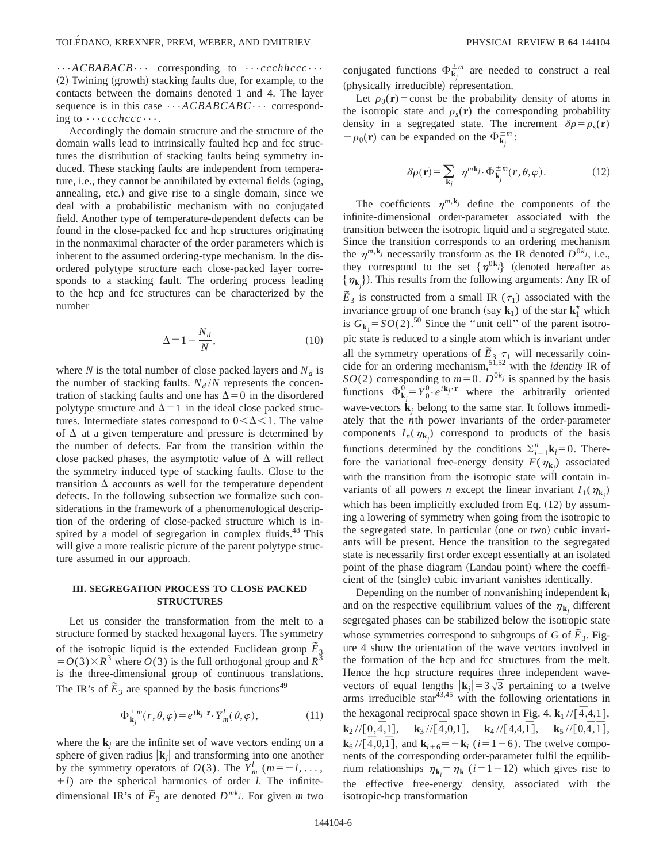•••*ACBABACB*••• corresponding to •••*ccchhccc*•••  $(2)$  Twining (growth) stacking faults due, for example, to the contacts between the domains denoted 1 and 4. The layer sequence is in this case  $\cdots ACBABCABC\cdots$  corresponding to •••*ccchccc*•••.

Accordingly the domain structure and the structure of the domain walls lead to intrinsically faulted hcp and fcc structures the distribution of stacking faults being symmetry induced. These stacking faults are independent from temperature, i.e., they cannot be annihilated by external fields (aging, annealing, etc.) and give rise to a single domain, since we deal with a probabilistic mechanism with no conjugated field. Another type of temperature-dependent defects can be found in the close-packed fcc and hcp structures originating in the nonmaximal character of the order parameters which is inherent to the assumed ordering-type mechanism. In the disordered polytype structure each close-packed layer corresponds to a stacking fault. The ordering process leading to the hcp and fcc structures can be characterized by the number

$$
\Delta = 1 - \frac{N_d}{N},\tag{10}
$$

where *N* is the total number of close packed layers and  $N_d$  is the number of stacking faults.  $N_d/N$  represents the concentration of stacking faults and one has  $\Delta=0$  in the disordered polytype structure and  $\Delta=1$  in the ideal close packed structures. Intermediate states correspond to  $0<\Delta<1$ . The value of  $\Delta$  at a given temperature and pressure is determined by the number of defects. Far from the transition within the close packed phases, the asymptotic value of  $\Delta$  will reflect the symmetry induced type of stacking faults. Close to the transition  $\Delta$  accounts as well for the temperature dependent defects. In the following subsection we formalize such considerations in the framework of a phenomenological description of the ordering of close-packed structure which is inspired by a model of segregation in complex fluids.<sup>48</sup> This will give a more realistic picture of the parent polytype structure assumed in our approach.

# **III. SEGREGATION PROCESS TO CLOSE PACKED STRUCTURES**

Let us consider the transformation from the melt to a structure formed by stacked hexagonal layers. The symmetry of the isotropic liquid is the extended Euclidean group  $\tilde{E}_3$  $=$  *O*(3) $\times$ *R*<sup>3</sup> where *O*(3) is the full orthogonal group and *R*<sup>3</sup> is the three-dimensional group of continuous translations. The IR's of  $\tilde{E}_3$  are spanned by the basis functions<sup>49</sup>

$$
\Phi_{\mathbf{k}_j}^{\pm m}(r,\theta,\varphi) = e^{i\mathbf{k}_j \cdot \mathbf{r}} \cdot Y_m^l(\theta,\varphi),\tag{11}
$$

where the  $\mathbf{k}_i$  are the infinite set of wave vectors ending on a sphere of given radius  $|\mathbf{k}_i|$  and transforming into one another by the symmetry operators of  $O(3)$ . The  $Y_m^l$  ( $m = -l, \ldots,$  $+1$ ) are the spherical harmonics of order *l*. The infinitedimensional IR's of  $\tilde{E}_3$  are denoted  $D^{mkj}$ . For given *m* two

conjugated functions  $\Phi_{\mathbf{k}_j}^{\pm m}$  are needed to construct a real (physically irreducible) representation.

Let  $\rho_0(\mathbf{r})$ =const be the probability density of atoms in the isotropic state and  $\rho_{s}(\mathbf{r})$  the corresponding probability density in a segregated state. The increment  $\delta \rho = \rho_s(\mathbf{r})$  $-\rho_0(\mathbf{r})$  can be expanded on the  $\Phi_{\mathbf{k}_j}^{\pm m}$ :

$$
\delta \rho(\mathbf{r}) = \sum_{\mathbf{k}_j} \eta^{m\mathbf{k}_j} \cdot \Phi_{\mathbf{k}_j}^{\pm m}(r, \theta, \varphi). \tag{12}
$$

The coefficients  $\eta^{m,k_j}$  define the components of the infinite-dimensional order-parameter associated with the transition between the isotropic liquid and a segregated state. Since the transition corresponds to an ordering mechanism the  $\eta^{m,k_j}$  necessarily transform as the IR denoted  $D^{0k_j}$ , i.e., they correspond to the set  $\{\eta^{0k_j}\}$  (denoted hereafter as  $\{\eta_{\mathbf{k}_j}\}\)$ . This results from the following arguments: Any IR of  $\widetilde{E}_3$  is constructed from a small IR ( $\tau_1$ ) associated with the invariance group of one branch (say  $\mathbf{k}_1$ ) of the star  $\mathbf{k}_1^*$  which is  $G_{\mathbf{k}_1} = SO(2)$ .<sup>50</sup> Since the "unit cell" of the parent isotropic state is reduced to a single atom which is invariant under all the symmetry operations of  $\tilde{E}_3 \tau_1$  will necessarily coincide for an ordering mechanism,51,52 with the *identity* IR of *SO*(2) corresponding to  $m=0$ .  $D^{0k_j}$  is spanned by the basis functions  $\Phi_{\mathbf{k}_j}^{\vec{0}} = Y_0^0 \cdot e^{i\mathbf{k}_j \cdot \mathbf{r}}$  where the arbitrarily oriented wave-vectors  $\mathbf{k}_i$  belong to the same star. It follows immediately that the *n*th power invariants of the order-parameter components  $I_n(\eta_{\mathbf{k}_j})$  correspond to products of the basis functions determined by the conditions  $\sum_{i=1}^{n} \mathbf{k}_i = 0$ . Therefore the variational free-energy density  $F(\eta_{k_j})$  associated with the transition from the isotropic state will contain invariants of all powers *n* except the linear invariant  $I_1(\eta_{k_j})$ which has been implicitly excluded from Eq.  $(12)$  by assuming a lowering of symmetry when going from the isotropic to the segregated state. In particular (one or two) cubic invariants will be present. Hence the transition to the segregated state is necessarily first order except essentially at an isolated point of the phase diagram (Landau point) where the coefficient of the (single) cubic invariant vanishes identically.

Depending on the number of nonvanishing independent  $\mathbf{k}_i$ and on the respective equilibrium values of the  $\eta_{k_j}$  different segregated phases can be stabilized below the isotropic state whose symmetries correspond to subgroups of *G* of  $\tilde{E}_3$ . Figure 4 show the orientation of the wave vectors involved in the formation of the hcp and fcc structures from the melt. Hence the hcp structure requires three independent wavevectors of equal lengths  $|\mathbf{k}_j|=3\sqrt{3}$  pertaining to a twelve arms irreducible star $43,45$  with the following orientations in the hexagonal reciprocal space shown in Fig. 4.  $\mathbf{k}_1 / / [\overline{4}, 4, 1]$ , **k**<sub>2</sub> //[0,4,1], **k**<sub>3</sub> //[4,0,1], **k**<sub>4</sub> //[4,4,1<sup> $\overline{1}$ </sup>, **k**<sub>5</sub> //[0,4,1<sup> $\overline{1}$ </sup>, **k**<sub>6</sub> //[ $\overline{4}$ ,0, $\overline{1}$ ], and **k**<sub>*i*+6</sub> = **k**<sub>*i*</sub> (*i* = 1 – 6). The twelve components of the corresponding order-parameter fulfil the equilibrium relationships  $\eta_{\mathbf{k}_i} = \eta_{\mathbf{k}}$  (*i*=1-12) which gives rise to the effective free-energy density, associated with the isotropic-hcp transformation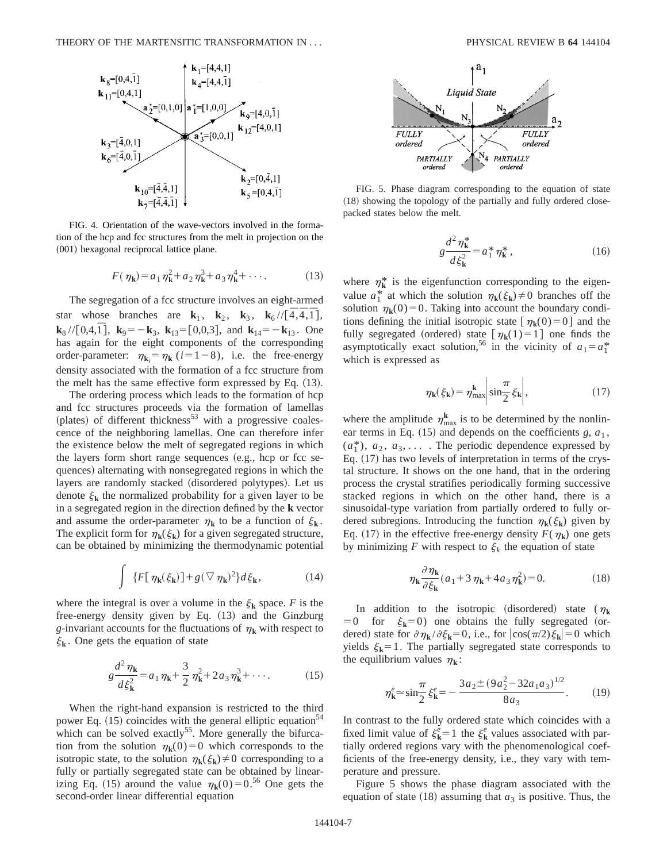

FIG. 4. Orientation of the wave-vectors involved in the formation of the hcp and fcc structures from the melt in projection on the (001) hexagonal reciprocal lattice plane.

$$
F(\eta_{k}) = a_{1} \eta_{k}^{2} + a_{2} \eta_{k}^{3} + a_{3} \eta_{k}^{4} + \cdots
$$
 (13)

The segregation of a fcc structure involves an eight-armed star whose branches are **k**<sub>1</sub>, **k**<sub>2</sub>, **k**<sub>3</sub>, **k**<sub>6</sub>//[ $\overline{4}, \overline{4}, \overline{1}$ ],  $\mathbf{k}_{8}$  //[0,4, $\overline{1}$ ],  $\mathbf{k}_{9} = -\mathbf{k}_{3}$ ,  $\mathbf{k}_{13} = [0,0,3]$ , and  $\mathbf{k}_{14} = -\mathbf{k}_{13}$ . One has again for the eight components of the corresponding order-parameter:  $\eta_{\mathbf{k}_i} = \eta_{\mathbf{k}}$  (*i* = 1 – 8), i.e. the free-energy density associated with the formation of a fcc structure from the melt has the same effective form expressed by Eq.  $(13)$ .

The ordering process which leads to the formation of hcp and fcc structures proceeds via the formation of lamellas  $(p$ lates) of different thickness<sup>53</sup> with a progressive coalescence of the neighboring lamellas. One can therefore infer the existence below the melt of segregated regions in which the layers form short range sequences  $(e.g., \text{ hep or fcc} se$ quences) alternating with nonsegregated regions in which the layers are randomly stacked (disordered polytypes). Let us denote  $\xi_k$  the normalized probability for a given layer to be in a segregated region in the direction defined by the **k** vector and assume the order-parameter  $\eta_k$  to be a function of  $\xi_k$ . The explicit form for  $\eta_k(\xi_k)$  for a given segregated structure, can be obtained by minimizing the thermodynamic potential

$$
\int \{F[\,\eta_{\mathbf{k}}(\xi_{\mathbf{k}})] + g(\nabla \,\eta_{\mathbf{k}})^2\}d\xi_{\mathbf{k}},\tag{14}
$$

where the integral is over a volume in the  $\xi_{\mathbf{k}}$  space. *F* is the free-energy density given by Eq.  $(13)$  and the Ginzburg *g*-invariant accounts for the fluctuations of  $\eta_k$  with respect to  $\xi_{\mathbf{k}}$ . One gets the equation of state

$$
g\frac{d^2\eta_{\mathbf{k}}}{d\xi_{\mathbf{k}}^2} = a_1\eta_{\mathbf{k}} + \frac{3}{2}\eta_{\mathbf{k}}^2 + 2a_3\eta_{\mathbf{k}}^3 + \cdots
$$
 (15)

When the right-hand expansion is restricted to the third power Eq.  $(15)$  coincides with the general elliptic equation<sup>54</sup> which can be solved exactly<sup>55</sup>. More generally the bifurcation from the solution  $\eta_k(0)=0$  which corresponds to the isotropic state, to the solution  $\eta_k(\xi_k) \neq 0$  corresponding to a fully or partially segregated state can be obtained by linearizing Eq. (15) around the value  $\eta_k(0)=0.5^6$  One gets the second-order linear differential equation



FIG. 5. Phase diagram corresponding to the equation of state  $(18)$  showing the topology of the partially and fully ordered closepacked states below the melt.

$$
g\frac{d^2\eta_{\mathbf{k}}^*}{d\xi_{\mathbf{k}}^2} = a_1^* \eta_{\mathbf{k}}^*,\tag{16}
$$

where  $\eta_k^*$  is the eigenfunction corresponding to the eigenvalue  $a_1^*$  at which the solution  $\eta_k(\xi_k) \neq 0$  branches off the solution  $\eta_k(0)=0$ . Taking into account the boundary conditions defining the initial isotropic state  $[\eta_k(0)=0]$  and the fully segregated (ordered) state  $[\eta_k(1)=1]$  one finds the asymptotically exact solution,<sup>56</sup> in the vicinity of  $a_1 = a_1^*$ which is expressed as

$$
\eta_{\mathbf{k}}(\xi_{\mathbf{k}}) = \eta_{\max}^{\mathbf{k}} \left| \sin \frac{\pi}{2} \xi_{\mathbf{k}} \right|,\tag{17}
$$

where the amplitude  $\eta_{\text{max}}^{\mathbf{k}}$  is to be determined by the nonlinear terms in Eq.  $(15)$  and depends on the coefficients *g*,  $a_1$ ,  $(a_1^*)$ ,  $a_2$ ,  $a_3$ , ... . The periodic dependence expressed by Eq.  $(17)$  has two levels of interpretation in terms of the crystal structure. It shows on the one hand, that in the ordering process the crystal stratifies periodically forming successive stacked regions in which on the other hand, there is a sinusoidal-type variation from partially ordered to fully ordered subregions. Introducing the function  $\eta_k(\xi_k)$  given by Eq. (17) in the effective free-energy density  $F(\eta_k)$  one gets by minimizing *F* with respect to  $\xi_k$  the equation of state

$$
\eta_{\mathbf{k}} \frac{\partial \eta_{\mathbf{k}}}{\partial \xi_{\mathbf{k}}} (a_1 + 3 \eta_{\mathbf{k}} + 4 a_3 \eta_{\mathbf{k}}^2) = 0.
$$
 (18)

In addition to the isotropic (disordered) state ( $\eta_k$  $=0$  for  $\xi_k=0$  one obtains the fully segregated (ordered) state for  $\partial \eta_k / \partial \xi_k = 0$ , i.e., for  $|\cos(\pi/2)\xi_k| = 0$  which yields  $\xi_k = 1$ . The partially segregated state corresponds to the equilibrium values  $\eta_k$ :

$$
\eta_{\mathbf{k}}^e \approx \sin\frac{\pi}{2}\xi_{\mathbf{k}}^e = -\frac{3a_2 \pm (9a_2^2 - 32a_1a_3)^{1/2}}{8a_3}.\tag{19}
$$

In contrast to the fully ordered state which coincides with a fixed limit value of  $\xi_k^e = 1$  the  $\xi_k^e$  values associated with partially ordered regions vary with the phenomenological coefficients of the free-energy density, i.e., they vary with temperature and pressure.

Figure 5 shows the phase diagram associated with the equation of state  $(18)$  assuming that  $a_3$  is positive. Thus, the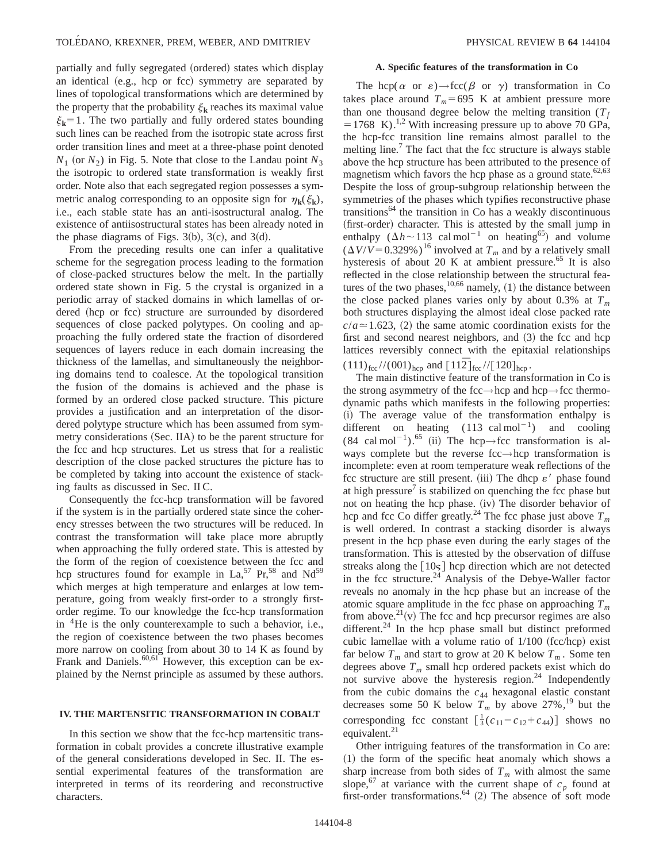partially and fully segregated (ordered) states which display an identical (e.g., hcp or fcc) symmetry are separated by lines of topological transformations which are determined by the property that the probability  $\xi_k$  reaches its maximal value  $\xi_k = 1$ . The two partially and fully ordered states bounding such lines can be reached from the isotropic state across first order transition lines and meet at a three-phase point denoted  $N_1$  (or  $N_2$ ) in Fig. 5. Note that close to the Landau point  $N_3$ the isotropic to ordered state transformation is weakly first order. Note also that each segregated region possesses a symmetric analog corresponding to an opposite sign for  $\eta_k(\xi_k)$ , i.e., each stable state has an anti-isostructural analog. The existence of antiisostructural states has been already noted in the phase diagrams of Figs.  $3(b)$ ,  $3(c)$ , and  $3(d)$ .

From the preceding results one can infer a qualitative scheme for the segregation process leading to the formation of close-packed structures below the melt. In the partially ordered state shown in Fig. 5 the crystal is organized in a periodic array of stacked domains in which lamellas of ordered (hcp or fcc) structure are surrounded by disordered sequences of close packed polytypes. On cooling and approaching the fully ordered state the fraction of disordered sequences of layers reduce in each domain increasing the thickness of the lamellas, and simultaneously the neighboring domains tend to coalesce. At the topological transition the fusion of the domains is achieved and the phase is formed by an ordered close packed structure. This picture provides a justification and an interpretation of the disordered polytype structure which has been assumed from symmetry considerations (Sec. IIA) to be the parent structure for the fcc and hcp structures. Let us stress that for a realistic description of the close packed structures the picture has to be completed by taking into account the existence of stacking faults as discussed in Sec. II C.

Consequently the fcc-hcp transformation will be favored if the system is in the partially ordered state since the coherency stresses between the two structures will be reduced. In contrast the transformation will take place more abruptly when approaching the fully ordered state. This is attested by the form of the region of coexistence between the fcc and hcp structures found for example in  $La<sub>2</sub>$ ,  $57$  Pr,  $58$  and Nd<sup>59</sup> which merges at high temperature and enlarges at low temperature, going from weakly first-order to a strongly firstorder regime. To our knowledge the fcc-hcp transformation in 4He is the only counterexample to such a behavior, i.e., the region of coexistence between the two phases becomes more narrow on cooling from about 30 to 14 K as found by Frank and Daniels.<sup>60,61</sup> However, this exception can be explained by the Nernst principle as assumed by these authors.

## **IV. THE MARTENSITIC TRANSFORMATION IN COBALT**

In this section we show that the fcc-hcp martensitic transformation in cobalt provides a concrete illustrative example of the general considerations developed in Sec. II. The essential experimental features of the transformation are interpreted in terms of its reordering and reconstructive characters.

#### **A. Specific features of the transformation in Co**

The hcp( $\alpha$  or  $\varepsilon$ )  $\rightarrow$  fcc( $\beta$  or  $\gamma$ ) transformation in Co takes place around  $T_m$ =695 K at ambient pressure more than one thousand degree below the melting transition  $(T_f)$  $=1768$  K).<sup>1,2</sup> With increasing pressure up to above 70 GPa, the hcp-fcc transition line remains almost parallel to the melting line.<sup>7</sup> The fact that the fcc structure is always stable above the hcp structure has been attributed to the presence of magnetism which favors the hcp phase as a ground state. $62,63$ Despite the loss of group-subgroup relationship between the symmetries of the phases which typifies reconstructive phase  $transitions<sup>64</sup>$  the transition in Co has a weakly discontinuous (first-order) character. This is attested by the small jump in enthalpy  $(\Delta h \sim 113 \text{ cal mol}^{-1}$  on heating<sup>65</sup>) and volume  $(\Delta V/V = 0.329\%)^{16}$  involved at  $T_m$  and by a relatively small hysteresis of about 20 K at ambient pressure.<sup>65</sup> It is also reflected in the close relationship between the structural features of the two phases,  $10,66$  namely, (1) the distance between the close packed planes varies only by about 0.3% at  $T_m$ both structures displaying the almost ideal close packed rate  $c/a \approx 1.623$ , (2) the same atomic coordination exists for the first and second nearest neighbors, and  $(3)$  the fcc and hcp lattices reversibly connect with the epitaxial relationships  $(111)_{\text{fcc}}$ //(001)<sub>hcp</sub> and  $[11\overline{2}]_{\text{fcc}}$ // $[120]_{\text{hcp}}$ .

The main distinctive feature of the transformation in Co is the strong asymmetry of the fcc→hcp and hcp→fcc thermodynamic paths which manifests in the following properties: (i) The average value of the transformation enthalpy is different on heating  $(113 \text{ cal mol}^{-1})$  and cooling (84 cal mol<sup>-1</sup>).<sup>65</sup> (ii) The hcp→fcc transformation is always complete but the reverse fcc→hcp transformation is incomplete: even at room temperature weak reflections of the fcc structure are still present. (iii) The dhcp  $\varepsilon'$  phase found at high pressure $\theta$  is stabilized on quenching the fcc phase but not on heating the hcp phase. (iv) The disorder behavior of hcp and fcc Co differ greatly.<sup>24</sup> The fcc phase just above  $T_m$ is well ordered. In contrast a stacking disorder is always present in the hcp phase even during the early stages of the transformation. This is attested by the observation of diffuse streaks along the  $\lceil 10<sub>s</sub> \rceil$  hcp direction which are not detected in the fcc structure. $^{24}$  Analysis of the Debye-Waller factor reveals no anomaly in the hcp phase but an increase of the atomic square amplitude in the fcc phase on approaching  $T_m$ from above.<sup>21</sup> $(v)$  The fcc and hcp precursor regimes are also different.<sup>24</sup> In the hcp phase small but distinct preformed cubic lamellae with a volume ratio of  $1/100$  (fcc/hcp) exist far below  $T_m$  and start to grow at 20 K below  $T_m$ . Some ten degrees above  $T_m$  small hcp ordered packets exist which do not survive above the hysteresis region. $24$  Independently from the cubic domains the  $c_{44}$  hexagonal elastic constant decreases some 50 K below  $T_m$  by above 27%,<sup>19</sup> but the corresponding fcc constant  $\left[\frac{1}{3}(c_{11}-c_{12}+c_{44})\right]$  shows no equivalent. $21$ 

Other intriguing features of the transformation in Co are:  $(1)$  the form of the specific heat anomaly which shows a sharp increase from both sides of  $T_m$  with almost the same slope,<sup>67</sup> at variance with the current shape of  $c_p$  found at first-order transformations.<sup>64</sup> (2) The absence of soft mode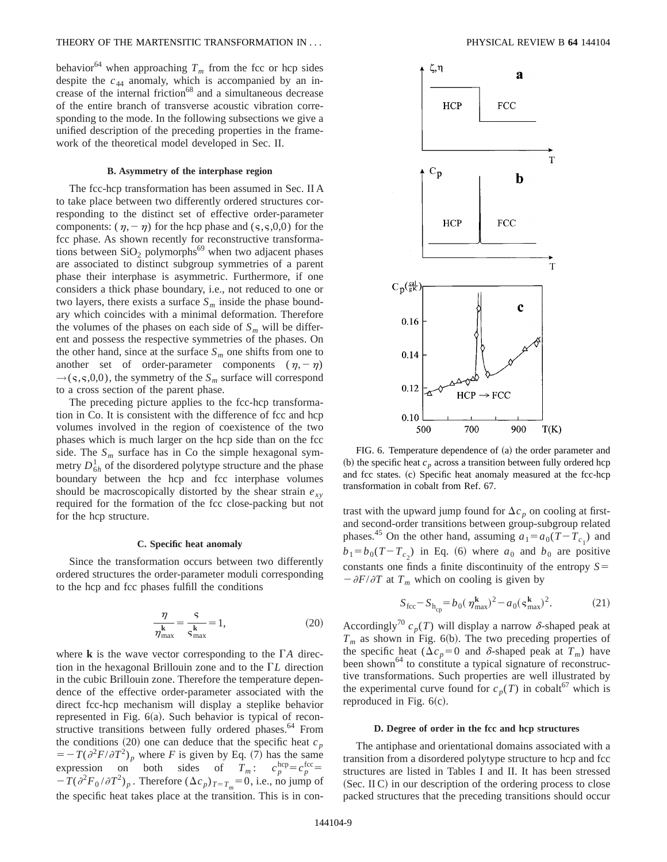behavior<sup>64</sup> when approaching  $T_m$  from the fcc or hcp sides despite the  $c_{44}$  anomaly, which is accompanied by an increase of the internal friction<sup>68</sup> and a simultaneous decrease of the entire branch of transverse acoustic vibration corresponding to the mode. In the following subsections we give a unified description of the preceding properties in the framework of the theoretical model developed in Sec. II.

## **B. Asymmetry of the interphase region**

The fcc-hcp transformation has been assumed in Sec. II A to take place between two differently ordered structures corresponding to the distinct set of effective order-parameter components:  $(\eta,-\eta)$  for the hcp phase and ( $\varsigma$ , $\varsigma$ ,0,0) for the fcc phase. As shown recently for reconstructive transformations between  $SiO<sub>2</sub>$  polymorphs<sup>69</sup> when two adjacent phases are associated to distinct subgroup symmetries of a parent phase their interphase is asymmetric. Furthermore, if one considers a thick phase boundary, i.e., not reduced to one or two layers, there exists a surface  $S_m$  inside the phase boundary which coincides with a minimal deformation. Therefore the volumes of the phases on each side of  $S_m$  will be different and possess the respective symmetries of the phases. On the other hand, since at the surface  $S_m$  one shifts from one to another set of order-parameter components  $(\eta,-\eta)$  $\rightarrow$ (s,s,0,0), the symmetry of the  $S_m$  surface will correspond to a cross section of the parent phase.

The preceding picture applies to the fcc-hcp transformation in Co. It is consistent with the difference of fcc and hcp volumes involved in the region of coexistence of the two phases which is much larger on the hcp side than on the fcc side. The  $S_m$  surface has in Co the simple hexagonal symmetry  $D_{6h}^1$  of the disordered polytype structure and the phase boundary between the hcp and fcc interphase volumes should be macroscopically distorted by the shear strain  $e_{xy}$ required for the formation of the fcc close-packing but not for the hcp structure.

#### **C. Specific heat anomaly**

Since the transformation occurs between two differently ordered structures the order-parameter moduli corresponding to the hcp and fcc phases fulfill the conditions

$$
\frac{\eta}{\eta_{\text{max}}^k} = \frac{s}{s_{\text{max}}^k} = 1,\tag{20}
$$

where  $\bf{k}$  is the wave vector corresponding to the  $\Gamma A$  direction in the hexagonal Brillouin zone and to the  $\Gamma L$  direction in the cubic Brillouin zone. Therefore the temperature dependence of the effective order-parameter associated with the direct fcc-hcp mechanism will display a steplike behavior represented in Fig.  $6(a)$ . Such behavior is typical of reconstructive transitions between fully ordered phases.<sup>64</sup> From the conditions  $(20)$  one can deduce that the specific heat  $c_p$  $= -T(\partial^2 F/\partial T^2)_p$  where *F* is given by Eq. (7) has the same expression on both sides of  $T_m$ :  $c_p^{\text{hcp}} = c_p^{\text{fcc}} =$  $-T(\partial^2 F_0 / \partial T^2)_p$ . Therefore  $(\Delta c_p)_{T=T_m} = 0$ , i.e., no jump of the specific heat takes place at the transition. This is in con-



FIG. 6. Temperature dependence of (a) the order parameter and (b) the specific heat  $c_n$  across a transition between fully ordered hcp and fcc states. (c) Specific heat anomaly measured at the fcc-hcp transformation in cobalt from Ref. 67.

trast with the upward jump found for  $\Delta c_p$  on cooling at firstand second-order transitions between group-subgroup related phases.<sup>45</sup> On the other hand, assuming  $a_1 = a_0(T - T_{c_1})$  and  $b_1 = b_0(T - T_{c_2})$  in Eq. (6) where  $a_0$  and  $b_0$  are positive constants one finds a finite discontinuity of the entropy  $S=$  $-\partial F/\partial T$  at  $T_m$  which on cooling is given by

$$
S_{\text{fcc}} - S_{\text{h}_{\text{cp}}} = b_0 (\eta_{\text{max}}^{\mathbf{k}})^2 - a_0 (\varsigma_{\text{max}}^{\mathbf{k}})^2. \tag{21}
$$

Accordingly<sup>70</sup>  $c_p(T)$  will display a narrow  $\delta$ -shaped peak at  $T_m$  as shown in Fig. 6(b). The two preceding properties of the specific heat ( $\Delta c_p = 0$  and  $\delta$ -shaped peak at  $T_m$ ) have been shown<sup>64</sup> to constitute a typical signature of reconstructive transformations. Such properties are well illustrated by the experimental curve found for  $c_p(T)$  in cobalt<sup>67</sup> which is reproduced in Fig.  $6(c)$ .

#### **D. Degree of order in the fcc and hcp structures**

The antiphase and orientational domains associated with a transition from a disordered polytype structure to hcp and fcc structures are listed in Tables I and II. It has been stressed  $(Sec. \tIIC)$  in our description of the ordering process to close packed structures that the preceding transitions should occur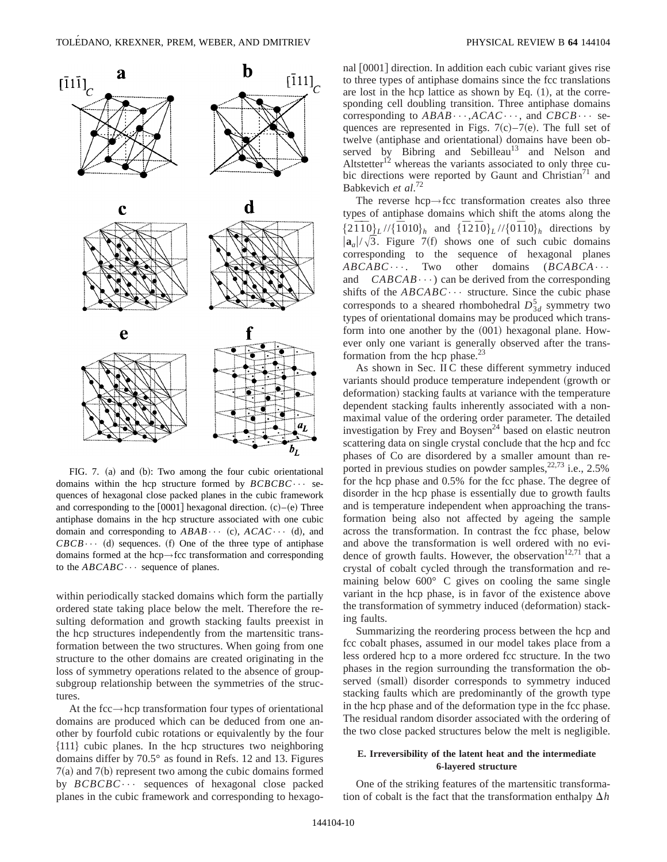

FIG. 7. (a) and (b): Two among the four cubic orientational domains within the hcp structure formed by *BCBCBC*••• sequences of hexagonal close packed planes in the cubic framework and corresponding to the  $[0001]$  hexagonal direction.  $(c)$ – $(e)$  Three antiphase domains in the hcp structure associated with one cubic domain and corresponding to  $ABAB \cdots$  (c),  $ACAC \cdots$  (d), and  $CBCB \cdots$  (d) sequences. (f) One of the three type of antiphase domains formed at the hcp→fcc transformation and corresponding to the  $ABCABC\cdots$  sequence of planes.

within periodically stacked domains which form the partially ordered state taking place below the melt. Therefore the resulting deformation and growth stacking faults preexist in the hcp structures independently from the martensitic transformation between the two structures. When going from one structure to the other domains are created originating in the loss of symmetry operations related to the absence of groupsubgroup relationship between the symmetries of the structures.

At the fcc $\rightarrow$ hcp transformation four types of orientational domains are produced which can be deduced from one another by fourfold cubic rotations or equivalently by the four  $\{111\}$  cubic planes. In the hcp structures two neighboring domains differ by 70.5° as found in Refs. 12 and 13. Figures  $7(a)$  and  $7(b)$  represent two among the cubic domains formed by *BCBCBC*••• sequences of hexagonal close packed planes in the cubic framework and corresponding to hexagonal  $|0001|$  direction. In addition each cubic variant gives rise to three types of antiphase domains since the fcc translations are lost in the hcp lattice as shown by Eq.  $(1)$ , at the corresponding cell doubling transition. Three antiphase domains corresponding to *ABAB*•••,*ACAC*•••, and *CBCB*••• sequences are represented in Figs.  $7(c) - 7(e)$ . The full set of twelve (antiphase and orientational) domains have been observed by Bibring and Sebilleau<sup>13</sup> and Nelson and Altstetter<sup>12</sup> whereas the variants associated to only three cubic directions were reported by Gaunt and Christian<sup> $1$ </sup> and Babkevich *et al*. 72

The reverse hcp→fcc transformation creates also three types of antiphase domains which shift the atoms along the  $\{2\bar{1}I0\}_L$ // $\{\bar{1}010\}_h$  and  $\{\bar{1}2I0\}_L$ // $\{0\bar{1}10\}_h$  directions by  $|{\bf a}_a|/\sqrt{3}$ . Figure 7(f) shows one of such cubic domains corresponding to the sequence of hexagonal planes *ABCABC*·••. Two other domains (*BCABCA*•••) and *CABCAB*<sup>•••</sup>) can be derived from the corresponding  $CABCAB\cdots$ ) can be derived from the corresponding shifts of the  $ABCABC\cdots$  structure. Since the cubic phase corresponds to a sheared rhombohedral  $D_{3d}^5$  symmetry two types of orientational domains may be produced which transform into one another by the  $(001)$  hexagonal plane. However only one variant is generally observed after the transformation from the hcp phase.<sup>23</sup>

As shown in Sec. II C these different symmetry induced variants should produce temperature independent (growth or deformation) stacking faults at variance with the temperature dependent stacking faults inherently associated with a nonmaximal value of the ordering order parameter. The detailed investigation by Frey and Boysen<sup>24</sup> based on elastic neutron scattering data on single crystal conclude that the hcp and fcc phases of Co are disordered by a smaller amount than reported in previous studies on powder samples, <sup>22,73</sup> i.e., 2.5% for the hcp phase and 0.5% for the fcc phase. The degree of disorder in the hcp phase is essentially due to growth faults and is temperature independent when approaching the transformation being also not affected by ageing the sample across the transformation. In contrast the fcc phase, below and above the transformation is well ordered with no evidence of growth faults. However, the observation<sup>12,71</sup> that a crystal of cobalt cycled through the transformation and remaining below 600° C gives on cooling the same single variant in the hcp phase, is in favor of the existence above the transformation of symmetry induced (deformation) stacking faults.

Summarizing the reordering process between the hcp and fcc cobalt phases, assumed in our model takes place from a less ordered hcp to a more ordered fcc structure. In the two phases in the region surrounding the transformation the observed (small) disorder corresponds to symmetry induced stacking faults which are predominantly of the growth type in the hcp phase and of the deformation type in the fcc phase. The residual random disorder associated with the ordering of the two close packed structures below the melt is negligible.

## **E. Irreversibility of the latent heat and the intermediate 6-layered structure**

One of the striking features of the martensitic transformation of cobalt is the fact that the transformation enthalpy  $\Delta h$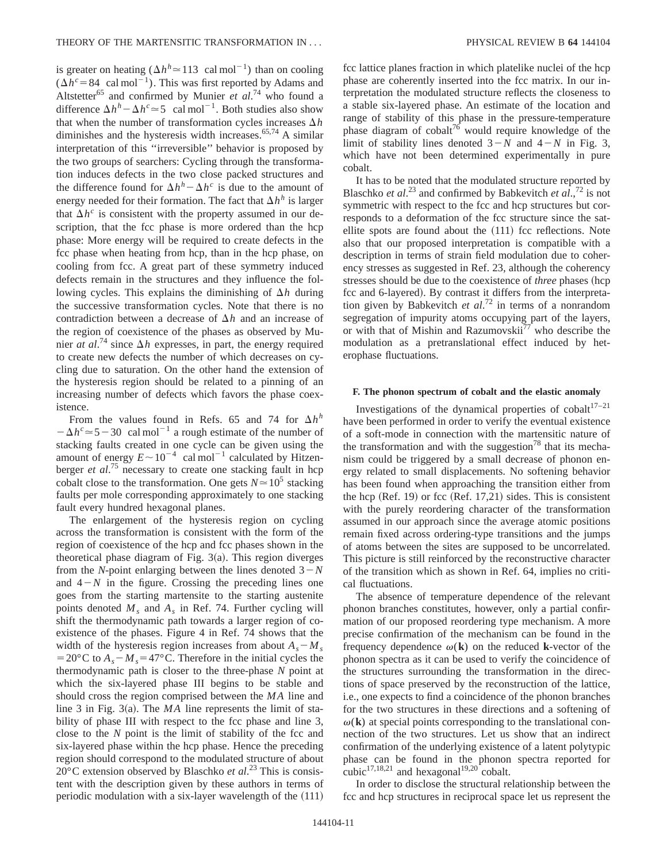is greater on heating  $(\Delta h^h \approx 113 \text{ cal mol}^{-1})$  than on cooling  $(\Delta h^c = 84 \text{ cal mol}^{-1})$ . This was first reported by Adams and Altstetter<sup>65</sup> and confirmed by Munier *et al.*<sup>74</sup> who found a difference  $\Delta h^h - \Delta h^c \approx 5$  cal mol<sup>-1</sup>. Both studies also show that when the number of transformation cycles increases  $\Delta h$ diminishes and the hysteresis width increases. $65,74$  A similar interpretation of this ''irreversible'' behavior is proposed by the two groups of searchers: Cycling through the transformation induces defects in the two close packed structures and the difference found for  $\Delta h^h - \Delta h^c$  is due to the amount of energy needed for their formation. The fact that  $\Delta h^h$  is larger that  $\Delta h^c$  is consistent with the property assumed in our description, that the fcc phase is more ordered than the hcp phase: More energy will be required to create defects in the fcc phase when heating from hcp, than in the hcp phase, on cooling from fcc. A great part of these symmetry induced defects remain in the structures and they influence the following cycles. This explains the diminishing of  $\Delta h$  during the successive transformation cycles. Note that there is no contradiction between a decrease of  $\Delta h$  and an increase of the region of coexistence of the phases as observed by Munier *at al*.<sup>74</sup> since  $\Delta h$  expresses, in part, the energy required to create new defects the number of which decreases on cycling due to saturation. On the other hand the extension of the hysteresis region should be related to a pinning of an increasing number of defects which favors the phase coexistence.

From the values found in Refs. 65 and 74 for  $\Delta h^h$  $-\Delta h^c \approx 5-30$  cal mol<sup>-1</sup> a rough estimate of the number of stacking faults created in one cycle can be given using the amount of energy  $E \sim 10^{-4}$  cal mol<sup>-1</sup> calculated by Hitzenberger *et al*. <sup>75</sup> necessary to create one stacking fault in hcp cobalt close to the transformation. One gets  $N \approx 10^5$  stacking faults per mole corresponding approximately to one stacking fault every hundred hexagonal planes.

The enlargement of the hysteresis region on cycling across the transformation is consistent with the form of the region of coexistence of the hcp and fcc phases shown in the theoretical phase diagram of Fig.  $3(a)$ . This region diverges from the *N*-point enlarging between the lines denoted  $3-N$ and  $4-N$  in the figure. Crossing the preceding lines one goes from the starting martensite to the starting austenite points denoted *Ms* and *As* in Ref. 74. Further cycling will shift the thermodynamic path towards a larger region of coexistence of the phases. Figure 4 in Ref. 74 shows that the width of the hysteresis region increases from about  $A_s - M_s$ = 20°C to  $A_s - M_s = 47$ °C. Therefore in the initial cycles the thermodynamic path is closer to the three-phase *N* point at which the six-layered phase III begins to be stable and should cross the region comprised between the *MA* line and line 3 in Fig.  $3(a)$ . The *MA* line represents the limit of stability of phase III with respect to the fcc phase and line 3, close to the *N* point is the limit of stability of the fcc and six-layered phase within the hcp phase. Hence the preceding region should correspond to the modulated structure of about 20°C extension observed by Blaschko *et al*. <sup>23</sup> This is consistent with the description given by these authors in terms of periodic modulation with a six-layer wavelength of the  $(111)$ 

fcc lattice planes fraction in which platelike nuclei of the hcp phase are coherently inserted into the fcc matrix. In our interpretation the modulated structure reflects the closeness to a stable six-layered phase. An estimate of the location and range of stability of this phase in the pressure-temperature phase diagram of  $\cosh t^{76}$  would require knowledge of the limit of stability lines denoted  $3-N$  and  $4-N$  in Fig. 3, which have not been determined experimentally in pure cobalt.

It has to be noted that the modulated structure reported by Blaschko *et al.*<sup>23</sup> and confirmed by Babkevitch *et al.*,<sup>72</sup> is not symmetric with respect to the fcc and hcp structures but corresponds to a deformation of the fcc structure since the satellite spots are found about the  $(111)$  fcc reflections. Note also that our proposed interpretation is compatible with a description in terms of strain field modulation due to coherency stresses as suggested in Ref. 23, although the coherency stresses should be due to the coexistence of *three* phases (hcp fcc and 6-layered). By contrast it differs from the interpretation given by Babkevitch *et al*. <sup>72</sup> in terms of a nonrandom segregation of impurity atoms occupying part of the layers, or with that of Mishin and Razumovskii $^{77}$  who describe the modulation as a pretranslational effect induced by heterophase fluctuations.

## **F. The phonon spectrum of cobalt and the elastic anomaly**

Investigations of the dynamical properties of cobalt $17-21$ have been performed in order to verify the eventual existence of a soft-mode in connection with the martensitic nature of the transformation and with the suggestion<sup>78</sup> that its mechanism could be triggered by a small decrease of phonon energy related to small displacements. No softening behavior has been found when approaching the transition either from the hcp  $(Ref. 19)$  or fcc  $(Ref. 17,21)$  sides. This is consistent with the purely reordering character of the transformation assumed in our approach since the average atomic positions remain fixed across ordering-type transitions and the jumps of atoms between the sites are supposed to be uncorrelated. This picture is still reinforced by the reconstructive character of the transition which as shown in Ref. 64, implies no critical fluctuations.

The absence of temperature dependence of the relevant phonon branches constitutes, however, only a partial confirmation of our proposed reordering type mechanism. A more precise confirmation of the mechanism can be found in the frequency dependence  $\omega(\mathbf{k})$  on the reduced **k**-vector of the phonon spectra as it can be used to verify the coincidence of the structures surrounding the transformation in the directions of space preserved by the reconstruction of the lattice, i.e., one expects to find a coincidence of the phonon branches for the two structures in these directions and a softening of  $\omega(\mathbf{k})$  at special points corresponding to the translational connection of the two structures. Let us show that an indirect confirmation of the underlying existence of a latent polytypic phase can be found in the phonon spectra reported for cubic $17,18,21$  and hexagonal<sup>19,20</sup> cobalt.

In order to disclose the structural relationship between the fcc and hcp structures in reciprocal space let us represent the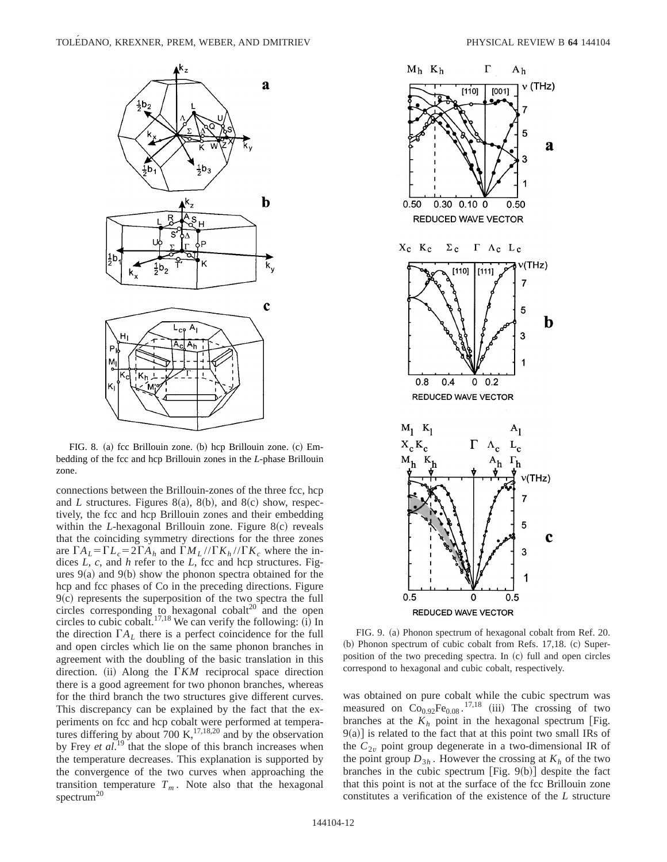

FIG. 8. (a) fcc Brillouin zone. (b) hcp Brillouin zone. (c) Embedding of the fcc and hcp Brillouin zones in the *L*-phase Brillouin zone.

connections between the Brillouin-zones of the three fcc, hcp and *L* structures. Figures  $8(a)$ ,  $8(b)$ , and  $8(c)$  show, respectively, the fcc and hcp Brillouin zones and their embedding within the *L*-hexagonal Brillouin zone. Figure 8(c) reveals that the coinciding symmetry directions for the three zones are  $\Gamma A_L = \Gamma L_c = 2\Gamma A_h$  and  $\Gamma M_L / \Gamma K_h / \Gamma K_c$  where the indices *L*, *c*, and *h* refer to the *L*, fcc and hcp structures. Figures  $9(a)$  and  $9(b)$  show the phonon spectra obtained for the hcp and fcc phases of Co in the preceding directions. Figure  $9(c)$  represents the superposition of the two spectra the full circles corresponding to hexagonal cobal $t^{20}$  and the open circles to cubic cobalt.<sup>17,18</sup> We can verify the following:  $(i)$  In the direction  $\Gamma A_L$  there is a perfect coincidence for the full and open circles which lie on the same phonon branches in agreement with the doubling of the basic translation in this direction.  $(ii)$  Along the  $\Gamma K M$  reciprocal space direction there is a good agreement for two phonon branches, whereas for the third branch the two structures give different curves. This discrepancy can be explained by the fact that the experiments on fcc and hcp cobalt were performed at temperatures differing by about  $700 \text{ K}$ ,  $^{17,18,20}$  and by the observation by Frey *et al.*<sup>19</sup> that the slope of this branch increases when the temperature decreases. This explanation is supported by the convergence of the two curves when approaching the transition temperature  $T_m$ . Note also that the hexagonal spectrum<sup>20</sup>



FIG. 9. (a) Phonon spectrum of hexagonal cobalt from Ref. 20.  $~$  (b) Phonon spectrum of cubic cobalt from Refs. 17,18. (c) Superposition of the two preceding spectra. In (c) full and open circles correspond to hexagonal and cubic cobalt, respectively.

was obtained on pure cobalt while the cubic spectrum was measured on  $Co<sub>0.92</sub>Fe<sub>0.08</sub>$ .<sup>17,18</sup> (iii) The crossing of two branches at the  $K_h$  point in the hexagonal spectrum [Fig.  $9(a)$ ] is related to the fact that at this point two small IRs of the  $C_{2v}$  point group degenerate in a two-dimensional IR of the point group  $D_{3h}$ . However the crossing at  $K_h$  of the two branches in the cubic spectrum [Fig.  $9(b)$ ] despite the fact that this point is not at the surface of the fcc Brillouin zone constitutes a verification of the existence of the *L* structure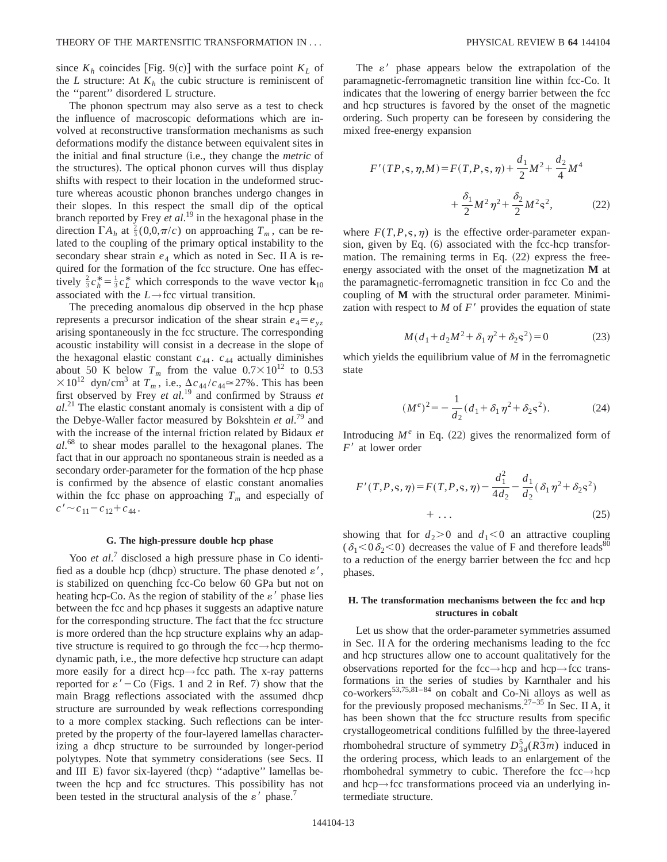since  $K_h$  coincides [Fig. 9(c)] with the surface point  $K_L$  of the *L* structure: At  $K_h$  the cubic structure is reminiscent of the ''parent'' disordered L structure.

The phonon spectrum may also serve as a test to check the influence of macroscopic deformations which are involved at reconstructive transformation mechanisms as such deformations modify the distance between equivalent sites in the initial and final structure (i.e., they change the *metric* of the structures). The optical phonon curves will thus display shifts with respect to their location in the undeformed structure whereas acoustic phonon branches undergo changes in their slopes. In this respect the small dip of the optical branch reported by Frey *et al*. <sup>19</sup> in the hexagonal phase in the direction  $\Gamma A_h$  at  $\frac{2}{3}(0,0,\pi/c)$  on approaching  $T_m$ , can be related to the coupling of the primary optical instability to the secondary shear strain  $e_4$  which as noted in Sec. II A is required for the formation of the fcc structure. One has effectively  $\frac{2}{3}c_h^* = \frac{1}{3}c_L^*$  which corresponds to the wave vector **k**<sub>10</sub> associated with the *L*→fcc virtual transition.

The preceding anomalous dip observed in the hcp phase represents a precursor indication of the shear strain  $e_4 = e_{yz}$ arising spontaneously in the fcc structure. The corresponding acoustic instability will consist in a decrease in the slope of the hexagonal elastic constant  $c_{44}$ .  $c_{44}$  actually diminishes about 50 K below  $T_m$  from the value  $0.7 \times 10^{12}$  to 0.53  $\times 10^{12}$  dyn/cm<sup>3</sup> at  $T_m$ , i.e.,  $\Delta c_{44}/c_{44} \approx 27\%$ . This has been first observed by Frey *et al*. <sup>19</sup> and confirmed by Strauss *et al*. <sup>21</sup> The elastic constant anomaly is consistent with a dip of the Debye-Waller factor measured by Bokshtein *et al*. <sup>79</sup> and with the increase of the internal friction related by Bidaux *et al*. <sup>68</sup> to shear modes parallel to the hexagonal planes. The fact that in our approach no spontaneous strain is needed as a secondary order-parameter for the formation of the hcp phase is confirmed by the absence of elastic constant anomalies within the fcc phase on approaching  $T_m$  and especially of  $c' \sim c_{11} - c_{12} + c_{44}$ .

## **G. The high-pressure double hcp phase**

Yoo *et al.*<sup>7</sup> disclosed a high pressure phase in Co identified as a double hcp (dhcp) structure. The phase denoted  $\varepsilon'$ , is stabilized on quenching fcc-Co below 60 GPa but not on heating hcp-Co. As the region of stability of the  $\varepsilon'$  phase lies between the fcc and hcp phases it suggests an adaptive nature for the corresponding structure. The fact that the fcc structure is more ordered than the hcp structure explains why an adaptive structure is required to go through the fcc→hcp thermodynamic path, i.e., the more defective hcp structure can adapt more easily for a direct hcp→fcc path. The x-ray patterns reported for  $\varepsilon'$  – Co (Figs. 1 and 2 in Ref. 7) show that the main Bragg reflections associated with the assumed dhcp structure are surrounded by weak reflections corresponding to a more complex stacking. Such reflections can be interpreted by the property of the four-layered lamellas characterizing a dhcp structure to be surrounded by longer-period polytypes. Note that symmetry considerations (see Secs. II and III E) favor six-layered (thcp) "adaptive" lamellas between the hcp and fcc structures. This possibility has not been tested in the structural analysis of the  $\varepsilon'$  phase.<sup>7</sup>

The  $\varepsilon'$  phase appears below the extrapolation of the paramagnetic-ferromagnetic transition line within fcc-Co. It indicates that the lowering of energy barrier between the fcc and hcp structures is favored by the onset of the magnetic ordering. Such property can be foreseen by considering the mixed free-energy expansion

$$
F'(TP, \mathbf{s}, \eta, M) = F(T, P, \mathbf{s}, \eta) + \frac{d_1}{2}M^2 + \frac{d_2}{4}M^4
$$

$$
+ \frac{\delta_1}{2}M^2\eta^2 + \frac{\delta_2}{2}M^2\mathbf{s}^2, \tag{22}
$$

where  $F(T, P, \varsigma, \eta)$  is the effective order-parameter expansion, given by Eq.  $(6)$  associated with the fcc-hcp transformation. The remaining terms in Eq.  $(22)$  express the freeenergy associated with the onset of the magnetization **M** at the paramagnetic-ferromagnetic transition in fcc Co and the coupling of **M** with the structural order parameter. Minimization with respect to  $M$  of  $F'$  provides the equation of state

$$
M(d_1 + d_2M^2 + \delta_1\eta^2 + \delta_2\varsigma^2) = 0
$$
 (23)

which yields the equilibrium value of *M* in the ferromagnetic state

$$
(M^e)^2 = -\frac{1}{d_2}(d_1 + \delta_1 \eta^2 + \delta_2 \varsigma^2). \tag{24}
$$

Introducing  $M^e$  in Eq. (22) gives the renormalized form of *F'* at lower order

$$
F'(T, P, \mathbf{s}, \eta) = F(T, P, \mathbf{s}, \eta) - \frac{d_1^2}{4d_2} - \frac{d_1}{d_2} (\delta_1 \eta^2 + \delta_2 \mathbf{s}^2) + \dots
$$
\n(25)

showing that for  $d_2$ >0 and  $d_1$ <0 an attractive coupling  $(\delta_1<0\delta_2<0)$  decreases the value of F and therefore leads<sup>80</sup> to a reduction of the energy barrier between the fcc and hcp phases.

## **H. The transformation mechanisms between the fcc and hcp structures in cobalt**

Let us show that the order-parameter symmetries assumed in Sec. II A for the ordering mechanisms leading to the fcc and hcp structures allow one to account qualitatively for the observations reported for the fcc→hcp and hcp→fcc transformations in the series of studies by Karnthaler and his co-workers $^{53,75,81-84}$  on cobalt and Co-Ni alloys as well as for the previously proposed mechanisms.<sup>27–35</sup> In Sec. II A, it has been shown that the fcc structure results from specific crystallogeometrical conditions fulfilled by the three-layered rhombohedral structure of symmetry  $D_{3d}^5(R\overline{3}m)$  induced in the ordering process, which leads to an enlargement of the rhombohedral symmetry to cubic. Therefore the fcc→hcp and hcp→fcc transformations proceed via an underlying intermediate structure.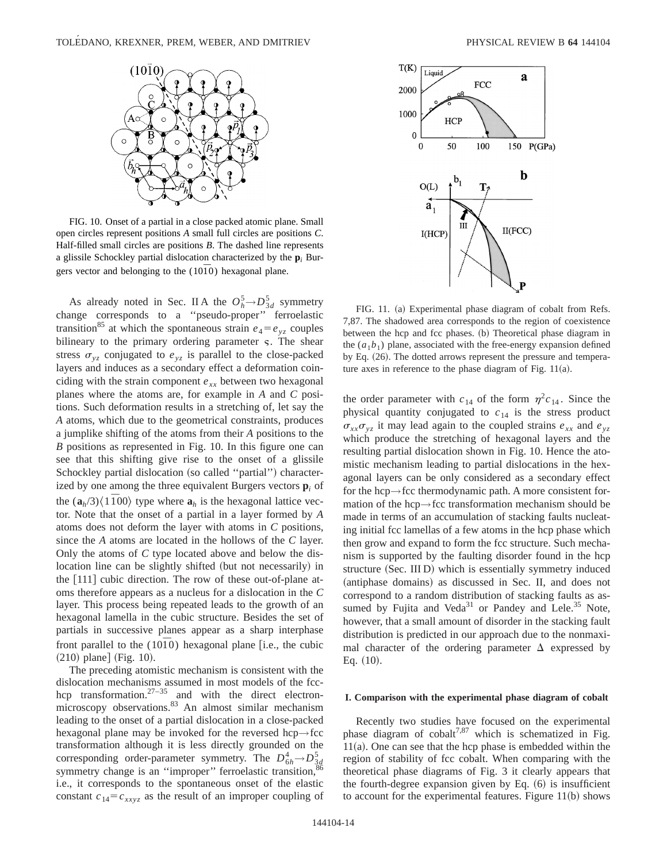

FIG. 10. Onset of a partial in a close packed atomic plane. Small open circles represent positions *A* small full circles are positions *C*. Half-filled small circles are positions *B*. The dashed line represents a glissile Schockley partial dislocation characterized by the  $\mathbf{p}_i$  Burgers vector and belonging to the  $(10\overline{1}0)$  hexagonal plane.

As already noted in Sec. II A the  $O_h^5 \rightarrow D_{3d}^5$  symmetry change corresponds to a ''pseudo-proper'' ferroelastic transition<sup>85</sup> at which the spontaneous strain  $e_4 = e_{yz}$  couples bilineary to the primary ordering parameter  $\varsigma$ . The shear stress  $\sigma_{vz}$  conjugated to  $e_{vz}$  is parallel to the close-packed layers and induces as a secondary effect a deformation coinciding with the strain component  $e_{xx}$  between two hexagonal planes where the atoms are, for example in *A* and *C* positions. Such deformation results in a stretching of, let say the *A* atoms, which due to the geometrical constraints, produces a jumplike shifting of the atoms from their *A* positions to the *B* positions as represented in Fig. 10. In this figure one can see that this shifting give rise to the onset of a glissile Schockley partial dislocation (so called "partial") characterized by one among the three equivalent Burgers vectors **p***<sup>i</sup>* of the  $(a_h/3)\langle 1\overline{1}00\rangle$  type where  $a_h$  is the hexagonal lattice vector. Note that the onset of a partial in a layer formed by *A* atoms does not deform the layer with atoms in *C* positions, since the *A* atoms are located in the hollows of the *C* layer. Only the atoms of *C* type located above and below the dislocation line can be slightly shifted (but not necessarily) in the  $[111]$  cubic direction. The row of these out-of-plane atoms therefore appears as a nucleus for a dislocation in the *C* layer. This process being repeated leads to the growth of an hexagonal lamella in the cubic structure. Besides the set of partials in successive planes appear as a sharp interphase front parallel to the  $(10\bar{1}0)$  hexagonal plane [i.e., the cubic  $(210)$  plane] (Fig. 10).

The preceding atomistic mechanism is consistent with the dislocation mechanisms assumed in most models of the fcchcp transformation.<sup>27–35</sup> and with the direct electronmicroscopy observations.<sup>83</sup> An almost similar mechanism leading to the onset of a partial dislocation in a close-packed hexagonal plane may be invoked for the reversed hcp $\rightarrow$ fcc transformation although it is less directly grounded on the corresponding order-parameter symmetry. The  $D_{6h}^4 \rightarrow D_{3d}^5$ symmetry change is an "improper" ferroelastic transition, i.e., it corresponds to the spontaneous onset of the elastic constant  $c_{14} = c_{xxyz}$  as the result of an improper coupling of



FIG. 11. (a) Experimental phase diagram of cobalt from Refs. 7,87. The shadowed area corresponds to the region of coexistence between the hcp and fcc phases. (b) Theoretical phase diagram in the  $(a_1b_1)$  plane, associated with the free-energy expansion defined by Eq. (26). The dotted arrows represent the pressure and temperature axes in reference to the phase diagram of Fig.  $11(a)$ .

the order parameter with  $c_{14}$  of the form  $\eta^2c_{14}$ . Since the physical quantity conjugated to  $c_{14}$  is the stress product  $\sigma_{xx}\sigma_{yz}$  it may lead again to the coupled strains  $e_{xx}$  and  $e_{yz}$ which produce the stretching of hexagonal layers and the resulting partial dislocation shown in Fig. 10. Hence the atomistic mechanism leading to partial dislocations in the hexagonal layers can be only considered as a secondary effect for the hcp→fcc thermodynamic path. A more consistent formation of the hcp→fcc transformation mechanism should be made in terms of an accumulation of stacking faults nucleating initial fcc lamellas of a few atoms in the hcp phase which then grow and expand to form the fcc structure. Such mechanism is supported by the faulting disorder found in the hcp structure (Sec. III D) which is essentially symmetry induced (antiphase domains) as discussed in Sec. II, and does not correspond to a random distribution of stacking faults as assumed by Fujita and Veda $31$  or Pandey and Lele.<sup>35</sup> Note, however, that a small amount of disorder in the stacking fault distribution is predicted in our approach due to the nonmaximal character of the ordering parameter  $\Delta$  expressed by Eq.  $(10)$ .

#### **I. Comparison with the experimental phase diagram of cobalt**

Recently two studies have focused on the experimental phase diagram of cobalt<sup>7,87</sup> which is schematized in Fig.  $11(a)$ . One can see that the hcp phase is embedded within the region of stability of fcc cobalt. When comparing with the theoretical phase diagrams of Fig. 3 it clearly appears that the fourth-degree expansion given by Eq.  $(6)$  is insufficient to account for the experimental features. Figure  $11(b)$  shows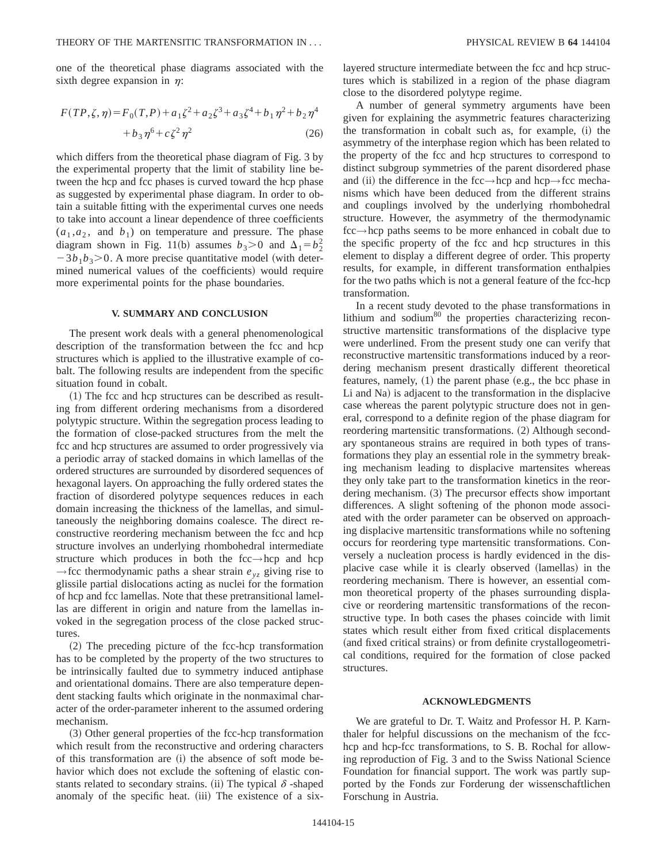one of the theoretical phase diagrams associated with the sixth degree expansion in  $\eta$ :

$$
F(TP, \zeta, \eta) = F_0(T, P) + a_1 \zeta^2 + a_2 \zeta^3 + a_3 \zeta^4 + b_1 \eta^2 + b_2 \eta^4
$$
  
+ 
$$
b_3 \eta^6 + c \zeta^2 \eta^2
$$
 (26)

which differs from the theoretical phase diagram of Fig. 3 by the experimental property that the limit of stability line between the hcp and fcc phases is curved toward the hcp phase as suggested by experimental phase diagram. In order to obtain a suitable fitting with the experimental curves one needs to take into account a linear dependence of three coefficients  $(a_1, a_2, \text{ and } b_1)$  on temperature and pressure. The phase diagram shown in Fig. 11(b) assumes  $b_3 > 0$  and  $\Delta_1 = b_2^2$  $-3b_1b_3$   $>$  0. A more precise quantitative model (with determined numerical values of the coefficients) would require more experimental points for the phase boundaries.

## **V. SUMMARY AND CONCLUSION**

The present work deals with a general phenomenological description of the transformation between the fcc and hcp structures which is applied to the illustrative example of cobalt. The following results are independent from the specific situation found in cobalt.

 $(1)$  The fcc and hcp structures can be described as resulting from different ordering mechanisms from a disordered polytypic structure. Within the segregation process leading to the formation of close-packed structures from the melt the fcc and hcp structures are assumed to order progressively via a periodic array of stacked domains in which lamellas of the ordered structures are surrounded by disordered sequences of hexagonal layers. On approaching the fully ordered states the fraction of disordered polytype sequences reduces in each domain increasing the thickness of the lamellas, and simultaneously the neighboring domains coalesce. The direct reconstructive reordering mechanism between the fcc and hcp structure involves an underlying rhombohedral intermediate structure which produces in both the fcc→hcp and hcp  $\rightarrow$  fcc thermodynamic paths a shear strain  $e_{yz}$  giving rise to glissile partial dislocations acting as nuclei for the formation of hcp and fcc lamellas. Note that these pretransitional lamellas are different in origin and nature from the lamellas invoked in the segregation process of the close packed structures.

(2) The preceding picture of the fcc-hcp transformation has to be completed by the property of the two structures to be intrinsically faulted due to symmetry induced antiphase and orientational domains. There are also temperature dependent stacking faults which originate in the nonmaximal character of the order-parameter inherent to the assumed ordering mechanism.

~3! Other general properties of the fcc-hcp transformation which result from the reconstructive and ordering characters of this transformation are (i) the absence of soft mode behavior which does not exclude the softening of elastic constants related to secondary strains. (ii) The typical  $\delta$  -shaped anomaly of the specific heat. (iii) The existence of a sixlayered structure intermediate between the fcc and hcp structures which is stabilized in a region of the phase diagram close to the disordered polytype regime.

A number of general symmetry arguments have been given for explaining the asymmetric features characterizing the transformation in cobalt such as, for example, (i) the asymmetry of the interphase region which has been related to the property of the fcc and hcp structures to correspond to distinct subgroup symmetries of the parent disordered phase and (ii) the difference in the fcc $\rightarrow$ hcp and hcp $\rightarrow$ fcc mechanisms which have been deduced from the different strains and couplings involved by the underlying rhombohedral structure. However, the asymmetry of the thermodynamic fcc→hcp paths seems to be more enhanced in cobalt due to the specific property of the fcc and hcp structures in this element to display a different degree of order. This property results, for example, in different transformation enthalpies for the two paths which is not a general feature of the fcc-hcp transformation.

In a recent study devoted to the phase transformations in lithium and sodium<sup>80</sup> the properties characterizing reconstructive martensitic transformations of the displacive type were underlined. From the present study one can verify that reconstructive martensitic transformations induced by a reordering mechanism present drastically different theoretical features, namely,  $(1)$  the parent phase  $(e.g., the bcc phase in$ Li and Na) is adjacent to the transformation in the displacive case whereas the parent polytypic structure does not in general, correspond to a definite region of the phase diagram for reordering martensitic transformations. (2) Although secondary spontaneous strains are required in both types of transformations they play an essential role in the symmetry breaking mechanism leading to displacive martensites whereas they only take part to the transformation kinetics in the reordering mechanism.  $(3)$  The precursor effects show important differences. A slight softening of the phonon mode associated with the order parameter can be observed on approaching displacive martensitic transformations while no softening occurs for reordering type martensitic transformations. Conversely a nucleation process is hardly evidenced in the displacive case while it is clearly observed (lamellas) in the reordering mechanism. There is however, an essential common theoretical property of the phases surrounding displacive or reordering martensitic transformations of the reconstructive type. In both cases the phases coincide with limit states which result either from fixed critical displacements (and fixed critical strains) or from definite crystallogeometrical conditions, required for the formation of close packed structures.

## **ACKNOWLEDGMENTS**

We are grateful to Dr. T. Waitz and Professor H. P. Karnthaler for helpful discussions on the mechanism of the fcchcp and hcp-fcc transformations, to S. B. Rochal for allowing reproduction of Fig. 3 and to the Swiss National Science Foundation for financial support. The work was partly supported by the Fonds zur Forderung der wissenschaftlichen Forschung in Austria.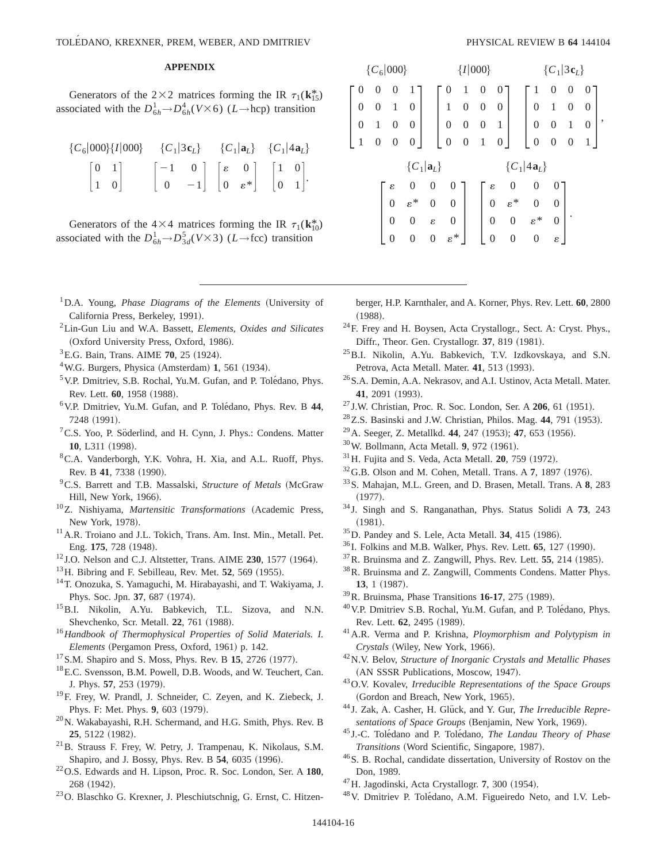# **APPENDIX**

Generators of the  $2\times2$  matrices forming the IR  $\tau_1(\mathbf{k}_{15}^*)$ associated with the  $D_{6h}^1 \rightarrow D_{6h}^4 (V \times 6)$  (*L*→hcp) transition

|                                                |                                                                                                                                                                   |  | ${C_6 000}{I 000}$ ${C_1 3c_L}$ ${C_1 a_L}$ ${C_1 a_L}$ |  |  |  |
|------------------------------------------------|-------------------------------------------------------------------------------------------------------------------------------------------------------------------|--|---------------------------------------------------------|--|--|--|
|                                                |                                                                                                                                                                   |  |                                                         |  |  |  |
| $\begin{bmatrix} 0 & 1 \\ 1 & 0 \end{bmatrix}$ | $\begin{bmatrix} -1 & 0 \\ 0 & -1 \end{bmatrix} \begin{bmatrix} \varepsilon & 0 \\ 0 & \varepsilon^* \end{bmatrix} \begin{bmatrix} 1 & 0 \\ 0 & 1 \end{bmatrix}.$ |  |                                                         |  |  |  |

Generators of the  $4\times4$  matrices forming the IR  $\tau_1(\mathbf{k}_{10}^*)$ associated with the  $D_{6h}^1 \rightarrow D_{3d}^5(V \times 3)$  (*L*→fcc) transition

- <sup>1</sup>D.A. Young, *Phase Diagrams of the Elements* (University of California Press, Berkeley, 1991).
- 2Lin-Gun Liu and W.A. Bassett, *Elements, Oxides and Silicates* (Oxford University Press, Oxford, 1986).
- <sup>3</sup> E.G. Bain, Trans. AIME **70**, 25 (1924).
- $4$ W.G. Burgers, Physica (Amsterdam) 1, 561 (1934).
- $5$  V.P. Dmitriev, S.B. Rochal, Yu.M. Gufan, and P. Tolédano, Phys. Rev. Lett. **60**, 1958 (1988).
- 6V.P. Dmitriev, Yu.M. Gufan, and P. Tole´dano, Phys. Rev. B **44**, 7248 (1991).
- <sup>7</sup>C.S. Yoo, P. Söderlind, and H. Cynn, J. Phys.: Condens. Matter **10**, L311 (1998).
- <sup>8</sup>C.A. Vanderborgh, Y.K. Vohra, H. Xia, and A.L. Ruoff, Phys. Rev. B 41, 7338 (1990).
- <sup>9</sup>C.S. Barrett and T.B. Massalski, *Structure of Metals* (McGraw Hill, New York, 1966).
- <sup>10</sup>Z. Nishiyama, *Martensitic Transformations* (Academic Press, New York, 1978).
- <sup>11</sup> A.R. Troiano and J.L. Tokich, Trans. Am. Inst. Min., Metall. Pet. Eng. 175, 728 (1948).
- $12$  J.O. Nelson and C.J. Altstetter, Trans. AIME  $230$ , 1577 (1964).
- $^{13}$ H. Bibring and F. Sebilleau, Rev. Met. **52**, 569 (1955).
- 14T. Onozuka, S. Yamaguchi, M. Hirabayashi, and T. Wakiyama, J. Phys. Soc. Jpn. 37, 687 (1974).
- 15B.I. Nikolin, A.Yu. Babkevich, T.L. Sizova, and N.N. Shevchenko, Scr. Metall. 22, 761 (1988).
- <sup>16</sup>*Handbook of Thermophysical Properties of Solid Materials. I. Elements* (Pergamon Press, Oxford, 1961) p. 142.
- <sup>17</sup> S.M. Shapiro and S. Moss, Phys. Rev. B **15**, 2726 (1977).
- 18E.C. Svensson, B.M. Powell, D.B. Woods, and W. Teuchert, Can. J. Phys. 57, 253 (1979).
- 19F. Frey, W. Prandl, J. Schneider, C. Zeyen, and K. Ziebeck, J. Phys. F: Met. Phys. 9, 603 (1979).
- $^{20}$ N. Wakabayashi, R.H. Schermand, and H.G. Smith, Phys. Rev. B 25, 5122 (1982).
- 21B. Strauss F. Frey, W. Petry, J. Trampenau, K. Nikolaus, S.M. Shapiro, and J. Bossy, Phys. Rev. B 54, 6035 (1996).
- 22O.S. Edwards and H. Lipson, Proc. R. Soc. London, Ser. A **180**, 268 (1942).
- 23O. Blaschko G. Krexner, J. Pleschiutschnig, G. Ernst, C. Hitzen-

| ${C_6 000}$ |   |                   |                |                 |                  | $\{I 000\}$      |                  |              |                  |                 | $\{C_1 3\mathbf{c}_L\}$ |                |                |   |   |  |
|-------------|---|-------------------|----------------|-----------------|------------------|------------------|------------------|--------------|------------------|-----------------|-------------------------|----------------|----------------|---|---|--|
|             |   | 0                 | 0              | 1               |                  |                  | 1                | 0            | U                |                 | 1                       | 0              | 0              | 0 |   |  |
|             | 0 | $\mathbf{\Omega}$ | 1              | 0               |                  | 1                | 0                | 0            | 0                |                 | $\boldsymbol{0}$        |                | 0              | 0 |   |  |
|             | 0 | 1                 | $\overline{0}$ | 0               |                  | $\boldsymbol{0}$ | 0                | $\Omega$     | 1                |                 | $\boldsymbol{0}$        | 0              | 1              | 0 | , |  |
|             |   | $\overline{0}$    | 0              | 0               |                  | $\boldsymbol{0}$ | $\boldsymbol{0}$ | $\mathbf{1}$ | 0                |                 | $\boldsymbol{0}$        | 0              | $\overline{0}$ |   |   |  |
| ${C_1 a_L}$ |   |                   |                |                 |                  |                  |                  |              |                  |                 | ${C_1 4a_L}$            |                |                |   |   |  |
|             |   |                   | ε              | 0               | $\overline{0}$   | 0                |                  |              | ε                | 0               | 0                       |                |                |   |   |  |
|             |   |                   | $\overline{0}$ | $\varepsilon^*$ | $\boldsymbol{0}$ | $\boldsymbol{0}$ |                  |              | $\boldsymbol{0}$ | $\varepsilon^*$ | $\overline{0}$          | 0              |                |   |   |  |
|             |   |                   | $\overline{0}$ | $\overline{0}$  | $\epsilon$       | $\boldsymbol{0}$ |                  |              | $\overline{0}$   | $\overline{0}$  | $\varepsilon^*$         | $\overline{0}$ |                |   |   |  |
|             |   |                   | 0              | $\Omega$        | $\boldsymbol{0}$ | $\varepsilon^*$  |                  |              | $\boldsymbol{0}$ | 0               | $\theta$                | ε              |                |   |   |  |

berger, H.P. Karnthaler, and A. Korner, Phys. Rev. Lett. **60**, 2800  $(1988).$ 

- 24F. Frey and H. Boysen, Acta Crystallogr., Sect. A: Cryst. Phys., Diffr., Theor. Gen. Crystallogr. 37, 819 (1981).
- 25B.I. Nikolin, A.Yu. Babkevich, T.V. Izdkovskaya, and S.N. Petrova, Acta Metall. Mater. 41, 513 (1993).
- <sup>26</sup> S.A. Demin, A.A. Nekrasov, and A.I. Ustinov, Acta Metall. Mater. 41, 2091 (1993).
- <sup>27</sup> J.W. Christian, Proc. R. Soc. London, Ser. A **206**, 61 (1951).
- <sup>28</sup>Z.S. Basinski and J.W. Christian, Philos. Mag. 44, 791 (1953).
- <sup>29</sup> A. Seeger, Z. Metallkd. **44**, 247 (1953); **47**, 653 (1956).
- <sup>30</sup>W. Bollmann, Acta Metall. **9**, 972 (1961).
- $31$  H. Fujita and S. Veda, Acta Metall. **20**, 759  $(1972)$ .
- $32$  G.B. Olson and M. Cohen, Metall. Trans. A 7, 1897 (1976).
- 33S. Mahajan, M.L. Green, and D. Brasen, Metall. Trans. A **8**, 283  $(1977).$
- <sup>34</sup> J. Singh and S. Ranganathan, Phys. Status Solidi A **73**, 243  $(1981).$
- <sup>35</sup>D. Pandey and S. Lele, Acta Metall. **34**, 415 (1986).
- $^{36}$  I. Folkins and M.B. Walker, Phys. Rev. Lett.  $65$ , 127 (1990).
- $37$ R. Bruinsma and Z. Zangwill, Phys. Rev. Lett.  $55$ , 214 (1985).
- 38R. Bruinsma and Z. Zangwill, Comments Condens. Matter Phys. **13**, 1 (1987).
- <sup>39</sup>R. Bruinsma, Phase Transitions **16-17**, 275 (1989).
- <sup>40</sup> V.P. Dmitriev S.B. Rochal, Yu.M. Gufan, and P. Tolédano, Phys. Rev. Lett. **62**, 2495 (1989).
- 41A.R. Verma and P. Krishna, *Ploymorphism and Polytypism in Crystals* (Wiley, New York, 1966).
- 42N.V. Belov, *Structure of Inorganic Crystals and Metallic Phases* (AN SSSR Publications, Moscow, 1947).
- 43O.V. Kovalev, *Irreducible Representations of the Space Groups* (Gordon and Breach, New York, 1965).
- <sup>44</sup> J. Zak, A. Casher, H. Glück, and Y. Gur, *The Irreducible Repre*sentations of Space Groups (Benjamin, New York, 1969).
- <sup>45</sup> J.-C. Tole´dano and P. Tole´dano, *The Landau Theory of Phase Transitions* (Word Scientific, Singapore, 1987).
- 46S. B. Rochal, candidate dissertation, University of Rostov on the Don, 1989.
- <sup>47</sup>H. Jagodinski, Acta Crystallogr. **7**, 300 (1954).
- <sup>48</sup>V. Dmitriev P. Tolédano, A.M. Figueiredo Neto, and I.V. Leb-